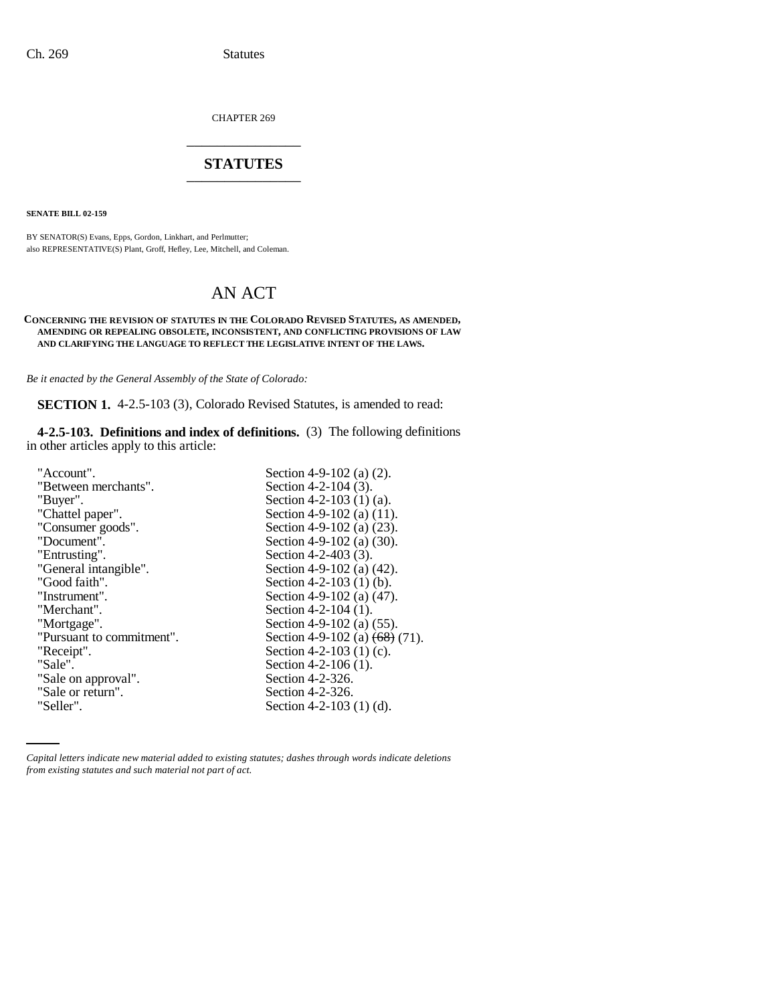CHAPTER 269 \_\_\_\_\_\_\_\_\_\_\_\_\_\_\_

# **STATUTES** \_\_\_\_\_\_\_\_\_\_\_\_\_\_\_

**SENATE BILL 02-159**

BY SENATOR(S) Evans, Epps, Gordon, Linkhart, and Perlmutter; also REPRESENTATIVE(S) Plant, Groff, Hefley, Lee, Mitchell, and Coleman.

# AN ACT

### **CONCERNING THE REVISION OF STATUTES IN THE COLORADO REVISED STATUTES, AS AMENDED, AMENDING OR REPEALING OBSOLETE, INCONSISTENT, AND CONFLICTING PROVISIONS OF LAW AND CLARIFYING THE LANGUAGE TO REFLECT THE LEGISLATIVE INTENT OF THE LAWS.**

*Be it enacted by the General Assembly of the State of Colorado:*

**SECTION 1.** 4-2.5-103 (3), Colorado Revised Statutes, is amended to read:

**4-2.5-103. Definitions and index of definitions.** (3) The following definitions in other articles apply to this article:

| "Account".                | Section 4-9-102 (a) $(2)$ .                 |
|---------------------------|---------------------------------------------|
| "Between merchants".      | Section 4-2-104 $(3)$ .                     |
| "Buyer".                  | Section 4-2-103 (1) (a).                    |
| "Chattel paper".          | Section 4-9-102 (a) (11).                   |
| "Consumer goods".         | Section 4-9-102 (a) $(23)$ .                |
| "Document".               | Section 4-9-102 (a) (30).                   |
| "Entrusting".             | Section 4-2-403 (3).                        |
| "General intangible".     | Section 4-9-102 (a) $(42)$ .                |
| "Good faith".             | Section 4-2-103 (1) (b).                    |
| "Instrument".             | Section 4-9-102 (a) $(47)$ .                |
| "Merchant".               | Section 4-2-104 $(1)$ .                     |
| "Mortgage".               | Section 4-9-102 (a) (55).                   |
| "Pursuant to commitment". | Section 4-9-102 (a) $\left(68\right)$ (71). |
| "Receipt".                | Section 4-2-103 $(1)$ (c).                  |
| "Sale".                   | Section 4-2-106 $(1)$ .                     |
| "Sale on approval".       | Section 4-2-326.                            |
| "Sale or return".         | Section 4-2-326.                            |
| "Seller".                 | Section 4-2-103 $(1)$ $(d)$ .               |

*Capital letters indicate new material added to existing statutes; dashes through words indicate deletions from existing statutes and such material not part of act.*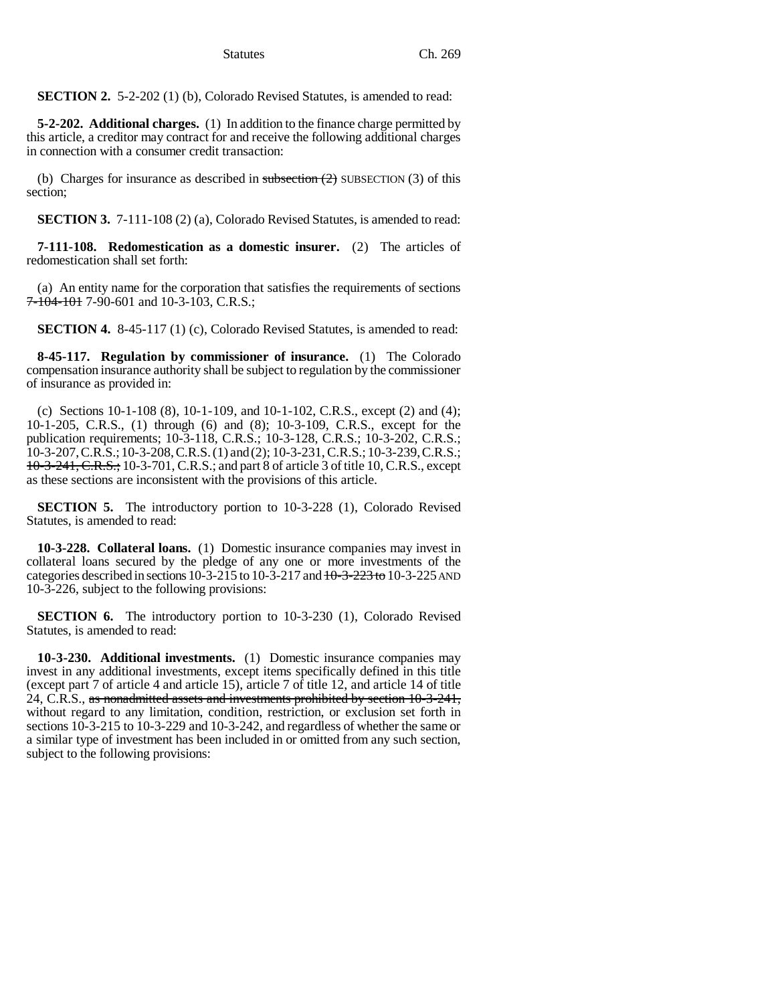Statutes Ch. 269

**SECTION 2.** 5-2-202 (1) (b), Colorado Revised Statutes, is amended to read:

**5-2-202. Additional charges.** (1) In addition to the finance charge permitted by this article, a creditor may contract for and receive the following additional charges in connection with a consumer credit transaction:

(b) Charges for insurance as described in subsection  $(2)$  SUBSECTION (3) of this section;

**SECTION 3.** 7-111-108 (2) (a), Colorado Revised Statutes, is amended to read:

**7-111-108. Redomestication as a domestic insurer.** (2) The articles of redomestication shall set forth:

(a) An entity name for the corporation that satisfies the requirements of sections 7-104-101 7-90-601 and 10-3-103, C.R.S.;

**SECTION 4.** 8-45-117 (1) (c), Colorado Revised Statutes, is amended to read:

**8-45-117. Regulation by commissioner of insurance.** (1) The Colorado compensation insurance authority shall be subject to regulation by the commissioner of insurance as provided in:

(c) Sections 10-1-108 (8), 10-1-109, and 10-1-102, C.R.S., except (2) and (4); 10-1-205, C.R.S., (1) through (6) and (8); 10-3-109, C.R.S., except for the publication requirements; 10-3-118, C.R.S.; 10-3-128, C.R.S.; 10-3-202, C.R.S.; 10-3-207, C.R.S.; 10-3-208, C.R.S. (1) and (2); 10-3-231, C.R.S.; 10-3-239, C.R.S.; 10-3-241, C.R.S.; 10-3-701, C.R.S.; and part 8 of article 3 of title 10, C.R.S., except as these sections are inconsistent with the provisions of this article.

**SECTION 5.** The introductory portion to 10-3-228 (1), Colorado Revised Statutes, is amended to read:

**10-3-228. Collateral loans.** (1) Domestic insurance companies may invest in collateral loans secured by the pledge of any one or more investments of the categories described in sections  $10-3-215$  to  $10-3-217$  and  $10-3-223$  to  $10-3-225$  AND 10-3-226, subject to the following provisions:

**SECTION 6.** The introductory portion to 10-3-230 (1), Colorado Revised Statutes, is amended to read:

**10-3-230. Additional investments.** (1) Domestic insurance companies may invest in any additional investments, except items specifically defined in this title (except part 7 of article 4 and article 15), article 7 of title 12, and article 14 of title 24, C.R.S., as nonadmitted assets and investments prohibited by section 10-3-241, without regard to any limitation, condition, restriction, or exclusion set forth in sections 10-3-215 to 10-3-229 and 10-3-242, and regardless of whether the same or a similar type of investment has been included in or omitted from any such section, subject to the following provisions: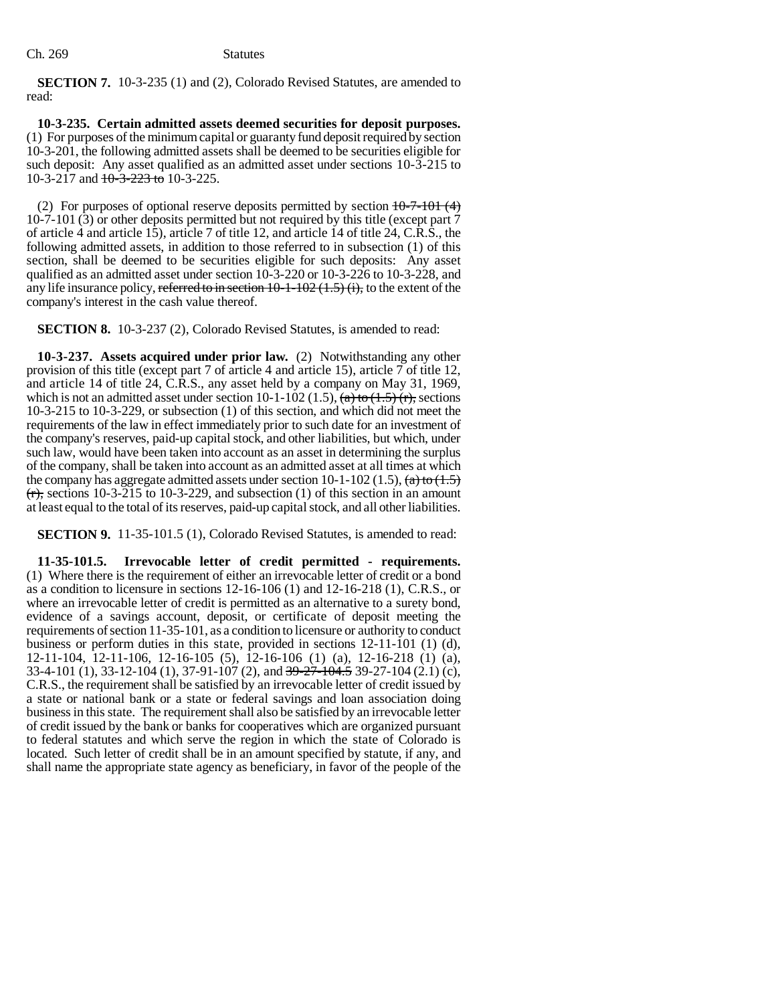**SECTION 7.** 10-3-235 (1) and (2), Colorado Revised Statutes, are amended to read:

**10-3-235. Certain admitted assets deemed securities for deposit purposes.** (1) For purposes of the minimum capital or guaranty fund deposit required by section 10-3-201, the following admitted assets shall be deemed to be securities eligible for such deposit: Any asset qualified as an admitted asset under sections 10-3-215 to 10-3-217 and  $\frac{10-3-223 \text{ to}}{10-3-225}$ .

(2) For purposes of optional reserve deposits permitted by section  $10-7-101$  (4) 10-7-101 (3) or other deposits permitted but not required by this title (except part 7 of article 4 and article 15), article 7 of title 12, and article 14 of title 24, C.R.S., the following admitted assets, in addition to those referred to in subsection (1) of this section, shall be deemed to be securities eligible for such deposits: Any asset qualified as an admitted asset under section 10-3-220 or 10-3-226 to 10-3-228, and any life insurance policy, referred to in section  $10-1-102$  (1.5) (i), to the extent of the company's interest in the cash value thereof.

**SECTION 8.** 10-3-237 (2), Colorado Revised Statutes, is amended to read:

**10-3-237. Assets acquired under prior law.** (2) Notwithstanding any other provision of this title (except part 7 of article 4 and article 15), article 7 of title 12, and article 14 of title 24, C.R.S., any asset held by a company on May 31, 1969, which is not an admitted asset under section 10-1-102 (1.5),  $\overline{(a)}$  to  $\overline{(1.5)}$ ,  $\overline{(r)}$ , sections 10-3-215 to 10-3-229, or subsection (1) of this section, and which did not meet the requirements of the law in effect immediately prior to such date for an investment of the company's reserves, paid-up capital stock, and other liabilities, but which, under such law, would have been taken into account as an asset in determining the surplus of the company, shall be taken into account as an admitted asset at all times at which the company has aggregate admitted assets under section 10-1-102 (1.5),  $(a)$  to  $(1.5)$  $(r)$ , sections 10-3-215 to 10-3-229, and subsection (1) of this section in an amount at least equal to the total of its reserves, paid-up capital stock, and all other liabilities.

**SECTION 9.** 11-35-101.5 (1), Colorado Revised Statutes, is amended to read:

**11-35-101.5. Irrevocable letter of credit permitted - requirements.** (1) Where there is the requirement of either an irrevocable letter of credit or a bond as a condition to licensure in sections 12-16-106 (1) and 12-16-218 (1), C.R.S., or where an irrevocable letter of credit is permitted as an alternative to a surety bond, evidence of a savings account, deposit, or certificate of deposit meeting the requirements of section 11-35-101, as a condition to licensure or authority to conduct business or perform duties in this state, provided in sections 12-11-101 (1) (d), 12-11-104, 12-11-106, 12-16-105 (5), 12-16-106 (1) (a), 12-16-218 (1) (a), 33-4-101 (1), 33-12-104 (1), 37-91-107 (2), and  $39\text{-}27\text{-}104\text{-}4.5$  39-27-104 (2.1) (c), C.R.S., the requirement shall be satisfied by an irrevocable letter of credit issued by a state or national bank or a state or federal savings and loan association doing business in this state. The requirement shall also be satisfied by an irrevocable letter of credit issued by the bank or banks for cooperatives which are organized pursuant to federal statutes and which serve the region in which the state of Colorado is located. Such letter of credit shall be in an amount specified by statute, if any, and shall name the appropriate state agency as beneficiary, in favor of the people of the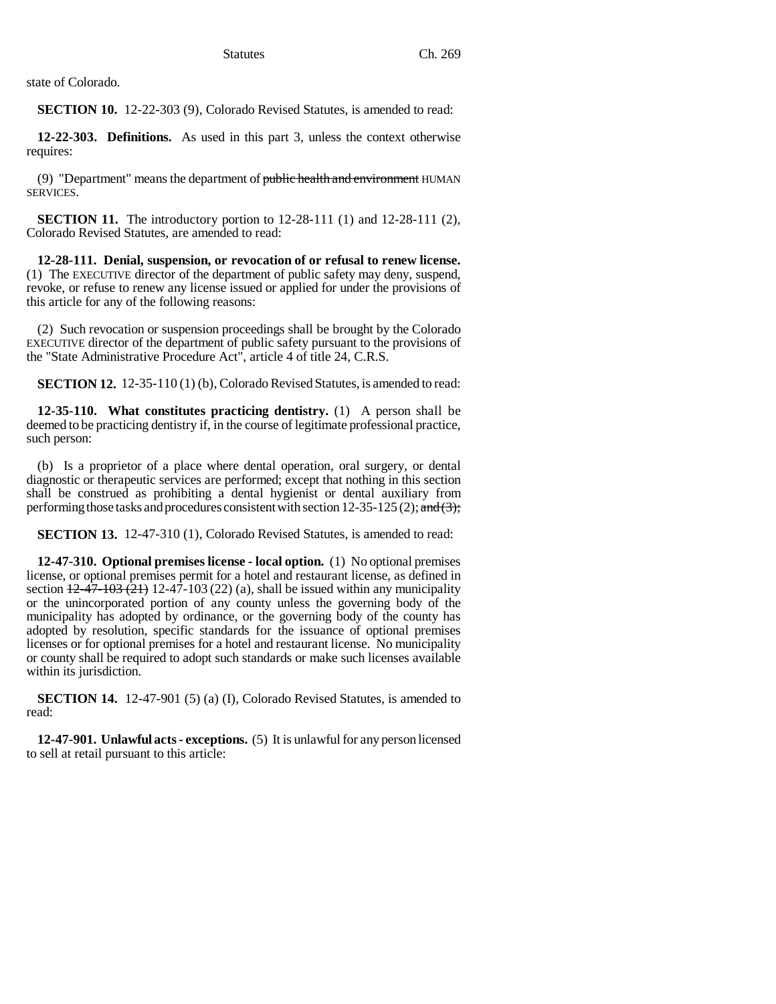state of Colorado.

**SECTION 10.** 12-22-303 (9), Colorado Revised Statutes, is amended to read:

**12-22-303. Definitions.** As used in this part 3, unless the context otherwise requires:

(9) "Department" means the department of public health and environment HUMAN SERVICES.

**SECTION 11.** The introductory portion to 12-28-111 (1) and 12-28-111 (2), Colorado Revised Statutes, are amended to read:

**12-28-111. Denial, suspension, or revocation of or refusal to renew license.** (1) The EXECUTIVE director of the department of public safety may deny, suspend, revoke, or refuse to renew any license issued or applied for under the provisions of this article for any of the following reasons:

(2) Such revocation or suspension proceedings shall be brought by the Colorado EXECUTIVE director of the department of public safety pursuant to the provisions of the "State Administrative Procedure Act", article 4 of title 24, C.R.S.

**SECTION 12.** 12-35-110 (1) (b), Colorado Revised Statutes, is amended to read:

**12-35-110. What constitutes practicing dentistry.** (1) A person shall be deemed to be practicing dentistry if, in the course of legitimate professional practice, such person:

(b) Is a proprietor of a place where dental operation, oral surgery, or dental diagnostic or therapeutic services are performed; except that nothing in this section shall be construed as prohibiting a dental hygienist or dental auxiliary from performing those tasks and procedures consistent with section 12-35-125 (2); and  $(3)$ ;

**SECTION 13.** 12-47-310 (1), Colorado Revised Statutes, is amended to read:

**12-47-310. Optional premises license - local option.** (1) No optional premises license, or optional premises permit for a hotel and restaurant license, as defined in section  $\frac{12-47-103(21)}{21}$  12-47-103 (22) (a), shall be issued within any municipality or the unincorporated portion of any county unless the governing body of the municipality has adopted by ordinance, or the governing body of the county has adopted by resolution, specific standards for the issuance of optional premises licenses or for optional premises for a hotel and restaurant license. No municipality or county shall be required to adopt such standards or make such licenses available within its jurisdiction.

**SECTION 14.** 12-47-901 (5) (a) (I), Colorado Revised Statutes, is amended to read:

**12-47-901. Unlawful acts - exceptions.** (5) It is unlawful for any person licensed to sell at retail pursuant to this article: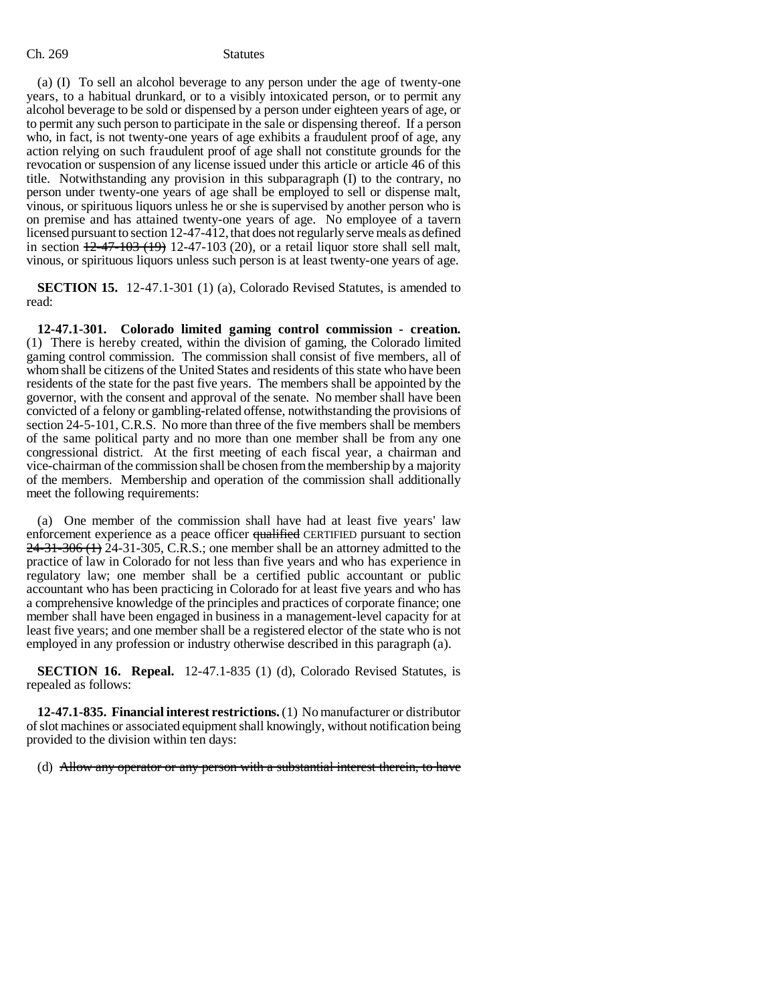(a) (I) To sell an alcohol beverage to any person under the age of twenty-one years, to a habitual drunkard, or to a visibly intoxicated person, or to permit any alcohol beverage to be sold or dispensed by a person under eighteen years of age, or to permit any such person to participate in the sale or dispensing thereof. If a person who, in fact, is not twenty-one years of age exhibits a fraudulent proof of age, any action relying on such fraudulent proof of age shall not constitute grounds for the revocation or suspension of any license issued under this article or article 46 of this title. Notwithstanding any provision in this subparagraph (I) to the contrary, no person under twenty-one years of age shall be employed to sell or dispense malt, vinous, or spirituous liquors unless he or she is supervised by another person who is on premise and has attained twenty-one years of age. No employee of a tavern licensed pursuant to section 12-47-412, that does not regularly serve meals as defined in section  $\frac{12-47-103(19)}{12-47-103(20)}$ , or a retail liquor store shall sell malt, vinous, or spirituous liquors unless such person is at least twenty-one years of age.

**SECTION 15.** 12-47.1-301 (1) (a), Colorado Revised Statutes, is amended to read:

**12-47.1-301. Colorado limited gaming control commission - creation.** (1) There is hereby created, within the division of gaming, the Colorado limited gaming control commission. The commission shall consist of five members, all of whom shall be citizens of the United States and residents of this state who have been residents of the state for the past five years. The members shall be appointed by the governor, with the consent and approval of the senate. No member shall have been convicted of a felony or gambling-related offense, notwithstanding the provisions of section 24-5-101, C.R.S. No more than three of the five members shall be members of the same political party and no more than one member shall be from any one congressional district. At the first meeting of each fiscal year, a chairman and vice-chairman of the commission shall be chosen from the membership by a majority of the members. Membership and operation of the commission shall additionally meet the following requirements:

(a) One member of the commission shall have had at least five years' law enforcement experience as a peace officer qualified CERTIFIED pursuant to section  $24-31-306$  (1) 24-31-305, C.R.S.; one member shall be an attorney admitted to the practice of law in Colorado for not less than five years and who has experience in regulatory law; one member shall be a certified public accountant or public accountant who has been practicing in Colorado for at least five years and who has a comprehensive knowledge of the principles and practices of corporate finance; one member shall have been engaged in business in a management-level capacity for at least five years; and one member shall be a registered elector of the state who is not employed in any profession or industry otherwise described in this paragraph (a).

**SECTION 16. Repeal.** 12-47.1-835 (1) (d), Colorado Revised Statutes, is repealed as follows:

**12-47.1-835. Financial interest restrictions.** (1) No manufacturer or distributor of slot machines or associated equipment shall knowingly, without notification being provided to the division within ten days:

(d) Allow any operator or any person with a substantial interest therein, to have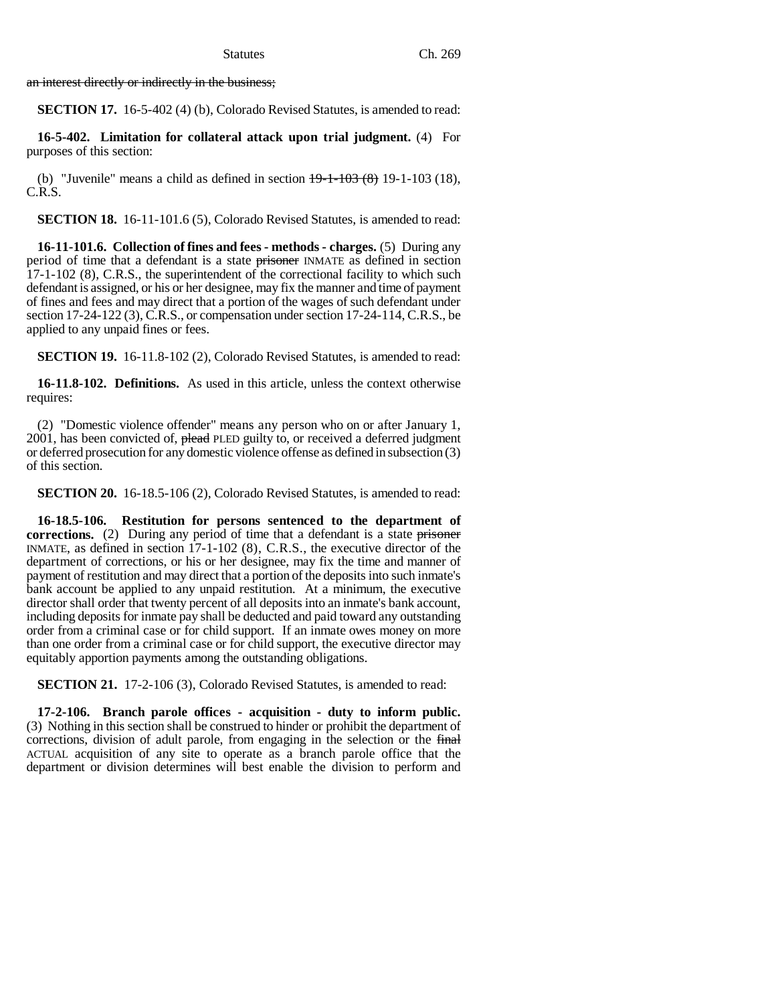an interest directly or indirectly in the business;

**SECTION 17.** 16-5-402 (4) (b), Colorado Revised Statutes, is amended to read:

**16-5-402. Limitation for collateral attack upon trial judgment.** (4) For purposes of this section:

(b) "Juvenile" means a child as defined in section  $19-1-103(8)$  19-1-103 (18), C.R.S.

**SECTION 18.** 16-11-101.6 (5), Colorado Revised Statutes, is amended to read:

**16-11-101.6. Collection of fines and fees - methods - charges.** (5) During any period of time that a defendant is a state **prisoner** INMATE as defined in section 17-1-102 (8), C.R.S., the superintendent of the correctional facility to which such defendant is assigned, or his or her designee, may fix the manner and time of payment of fines and fees and may direct that a portion of the wages of such defendant under section 17-24-122 (3), C.R.S., or compensation under section 17-24-114, C.R.S., be applied to any unpaid fines or fees.

**SECTION 19.** 16-11.8-102 (2), Colorado Revised Statutes, is amended to read:

**16-11.8-102. Definitions.** As used in this article, unless the context otherwise requires:

(2) "Domestic violence offender" means any person who on or after January 1, 2001, has been convicted of, plead PLED guilty to, or received a deferred judgment or deferred prosecution for any domestic violence offense as defined in subsection (3) of this section.

**SECTION 20.** 16-18.5-106 (2), Colorado Revised Statutes, is amended to read:

**16-18.5-106. Restitution for persons sentenced to the department of corrections.** (2) During any period of time that a defendant is a state prisoner INMATE, as defined in section 17-1-102 (8), C.R.S., the executive director of the department of corrections, or his or her designee, may fix the time and manner of payment of restitution and may direct that a portion of the deposits into such inmate's bank account be applied to any unpaid restitution. At a minimum, the executive director shall order that twenty percent of all deposits into an inmate's bank account, including deposits for inmate pay shall be deducted and paid toward any outstanding order from a criminal case or for child support. If an inmate owes money on more than one order from a criminal case or for child support, the executive director may equitably apportion payments among the outstanding obligations.

**SECTION 21.** 17-2-106 (3), Colorado Revised Statutes, is amended to read:

**17-2-106. Branch parole offices - acquisition - duty to inform public.** (3) Nothing in this section shall be construed to hinder or prohibit the department of corrections, division of adult parole, from engaging in the selection or the final ACTUAL acquisition of any site to operate as a branch parole office that the department or division determines will best enable the division to perform and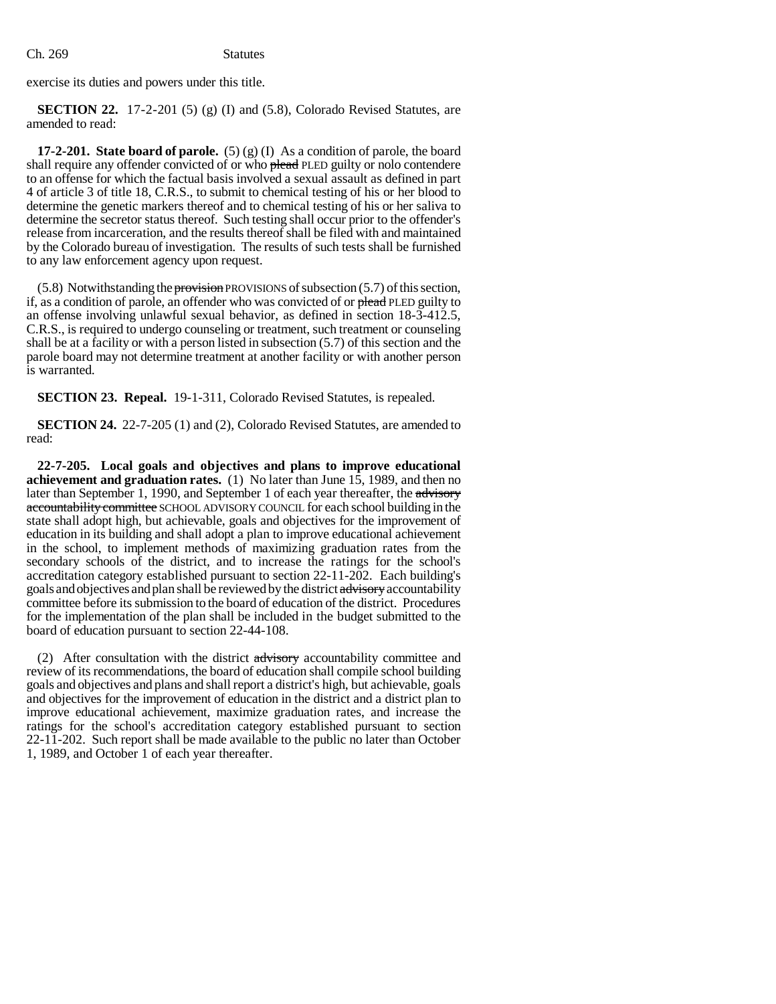exercise its duties and powers under this title.

**SECTION 22.** 17-2-201 (5) (g) (I) and (5.8), Colorado Revised Statutes, are amended to read:

**17-2-201. State board of parole.** (5) (g) (I) As a condition of parole, the board shall require any offender convicted of or who plead PLED guilty or nolo contendere to an offense for which the factual basis involved a sexual assault as defined in part 4 of article 3 of title 18, C.R.S., to submit to chemical testing of his or her blood to determine the genetic markers thereof and to chemical testing of his or her saliva to determine the secretor status thereof. Such testing shall occur prior to the offender's release from incarceration, and the results thereof shall be filed with and maintained by the Colorado bureau of investigation. The results of such tests shall be furnished to any law enforcement agency upon request.

(5.8) Notwithstanding the provision PROVISIONS of subsection (5.7) of this section, if, as a condition of parole, an offender who was convicted of or plead PLED guilty to an offense involving unlawful sexual behavior, as defined in section 18-3-412.5, C.R.S., is required to undergo counseling or treatment, such treatment or counseling shall be at a facility or with a person listed in subsection (5.7) of this section and the parole board may not determine treatment at another facility or with another person is warranted.

**SECTION 23. Repeal.** 19-1-311, Colorado Revised Statutes, is repealed.

**SECTION 24.** 22-7-205 (1) and (2), Colorado Revised Statutes, are amended to read:

**22-7-205. Local goals and objectives and plans to improve educational achievement and graduation rates.** (1) No later than June 15, 1989, and then no later than September 1, 1990, and September 1 of each year thereafter, the advisory accountability committee SCHOOL ADVISORY COUNCIL for each school building in the state shall adopt high, but achievable, goals and objectives for the improvement of education in its building and shall adopt a plan to improve educational achievement in the school, to implement methods of maximizing graduation rates from the secondary schools of the district, and to increase the ratings for the school's accreditation category established pursuant to section 22-11-202. Each building's goals and objectives and plan shall be reviewed by the district advisory accountability committee before its submission to the board of education of the district. Procedures for the implementation of the plan shall be included in the budget submitted to the board of education pursuant to section 22-44-108.

(2) After consultation with the district advisory accountability committee and review of its recommendations, the board of education shall compile school building goals and objectives and plans and shall report a district's high, but achievable, goals and objectives for the improvement of education in the district and a district plan to improve educational achievement, maximize graduation rates, and increase the ratings for the school's accreditation category established pursuant to section 22-11-202. Such report shall be made available to the public no later than October 1, 1989, and October 1 of each year thereafter.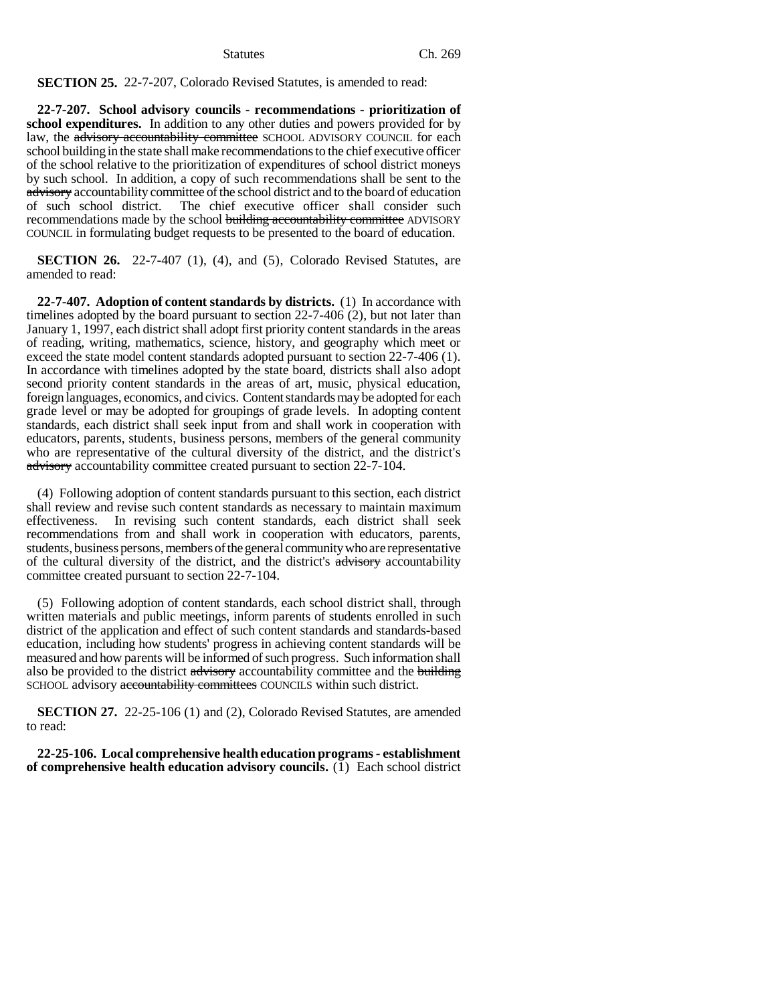**SECTION 25.** 22-7-207, Colorado Revised Statutes, is amended to read:

**22-7-207. School advisory councils - recommendations - prioritization of school expenditures.** In addition to any other duties and powers provided for by law, the advisory accountability committee SCHOOL ADVISORY COUNCIL for each school building in the state shall make recommendations to the chief executive officer of the school relative to the prioritization of expenditures of school district moneys by such school. In addition, a copy of such recommendations shall be sent to the advisory accountability committee of the school district and to the board of education of such school district. The chief executive officer shall consider such recommendations made by the school building accountability committee ADVISORY COUNCIL in formulating budget requests to be presented to the board of education.

**SECTION 26.** 22-7-407 (1), (4), and (5), Colorado Revised Statutes, are amended to read:

**22-7-407. Adoption of content standards by districts.** (1) In accordance with timelines adopted by the board pursuant to section 22-7-406 (2), but not later than January 1, 1997, each district shall adopt first priority content standards in the areas of reading, writing, mathematics, science, history, and geography which meet or exceed the state model content standards adopted pursuant to section 22-7-406 (1). In accordance with timelines adopted by the state board, districts shall also adopt second priority content standards in the areas of art, music, physical education, foreign languages, economics, and civics. Content standards may be adopted for each grade level or may be adopted for groupings of grade levels. In adopting content standards, each district shall seek input from and shall work in cooperation with educators, parents, students, business persons, members of the general community who are representative of the cultural diversity of the district, and the district's advisory accountability committee created pursuant to section 22-7-104.

(4) Following adoption of content standards pursuant to this section, each district shall review and revise such content standards as necessary to maintain maximum effectiveness. In revising such content standards, each district shall seek recommendations from and shall work in cooperation with educators, parents, students, business persons, members of the general community who are representative of the cultural diversity of the district, and the district's advisory accountability committee created pursuant to section 22-7-104.

(5) Following adoption of content standards, each school district shall, through written materials and public meetings, inform parents of students enrolled in such district of the application and effect of such content standards and standards-based education, including how students' progress in achieving content standards will be measured and how parents will be informed of such progress. Such information shall also be provided to the district advisory accountability committee and the building SCHOOL advisory accountability committees COUNCILS within such district.

**SECTION 27.** 22-25-106 (1) and (2), Colorado Revised Statutes, are amended to read:

**22-25-106. Local comprehensive health education programs - establishment of comprehensive health education advisory councils.** (1) Each school district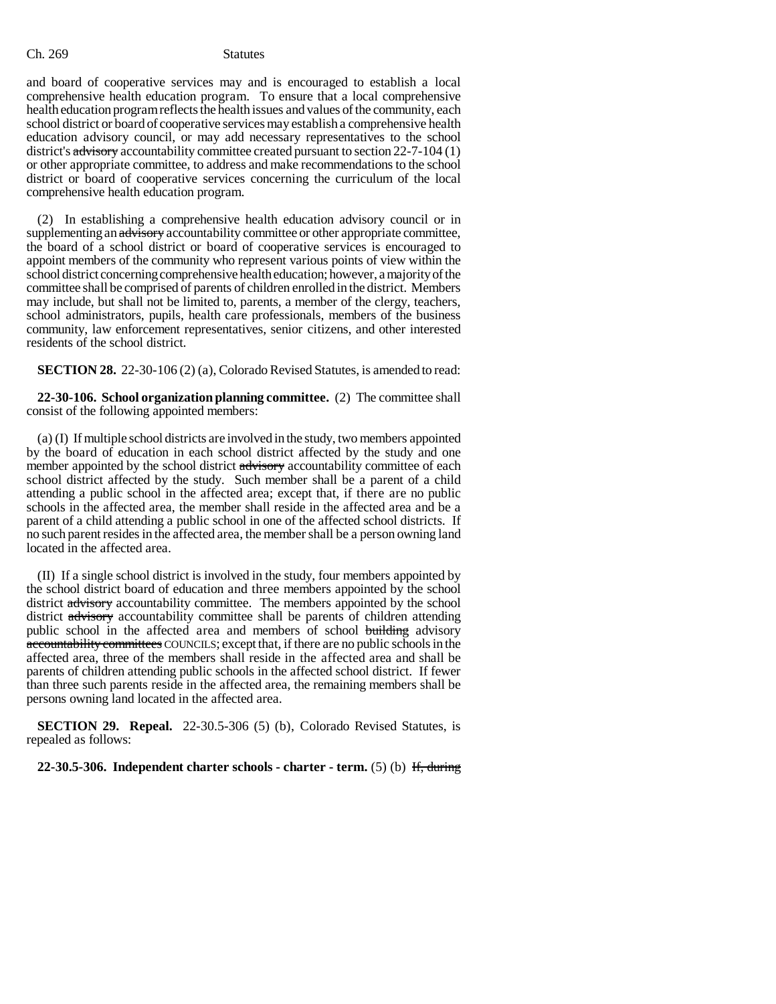and board of cooperative services may and is encouraged to establish a local comprehensive health education program. To ensure that a local comprehensive health education program reflects the health issues and values of the community, each school district or board of cooperative services may establish a comprehensive health education advisory council, or may add necessary representatives to the school district's advisory accountability committee created pursuant to section 22-7-104 (1) or other appropriate committee, to address and make recommendations to the school district or board of cooperative services concerning the curriculum of the local comprehensive health education program.

(2) In establishing a comprehensive health education advisory council or in supplementing an advisory accountability committee or other appropriate committee, the board of a school district or board of cooperative services is encouraged to appoint members of the community who represent various points of view within the school district concerning comprehensive health education; however, a majority of the committee shall be comprised of parents of children enrolled in the district. Members may include, but shall not be limited to, parents, a member of the clergy, teachers, school administrators, pupils, health care professionals, members of the business community, law enforcement representatives, senior citizens, and other interested residents of the school district.

**SECTION 28.** 22-30-106 (2) (a), Colorado Revised Statutes, is amended to read:

**22-30-106. School organization planning committee.** (2) The committee shall consist of the following appointed members:

(a) (I) If multiple school districts are involved in the study, two members appointed by the board of education in each school district affected by the study and one member appointed by the school district advisory accountability committee of each school district affected by the study. Such member shall be a parent of a child attending a public school in the affected area; except that, if there are no public schools in the affected area, the member shall reside in the affected area and be a parent of a child attending a public school in one of the affected school districts. If no such parent resides in the affected area, the member shall be a person owning land located in the affected area.

(II) If a single school district is involved in the study, four members appointed by the school district board of education and three members appointed by the school district advisory accountability committee. The members appointed by the school district advisory accountability committee shall be parents of children attending public school in the affected area and members of school building advisory accountability committees COUNCILS; except that, if there are no public schools in the affected area, three of the members shall reside in the affected area and shall be parents of children attending public schools in the affected school district. If fewer than three such parents reside in the affected area, the remaining members shall be persons owning land located in the affected area.

**SECTION 29. Repeal.** 22-30.5-306 (5) (b), Colorado Revised Statutes, is repealed as follows:

**22-30.5-306. Independent charter schools - charter - term.** (5) (b) If, during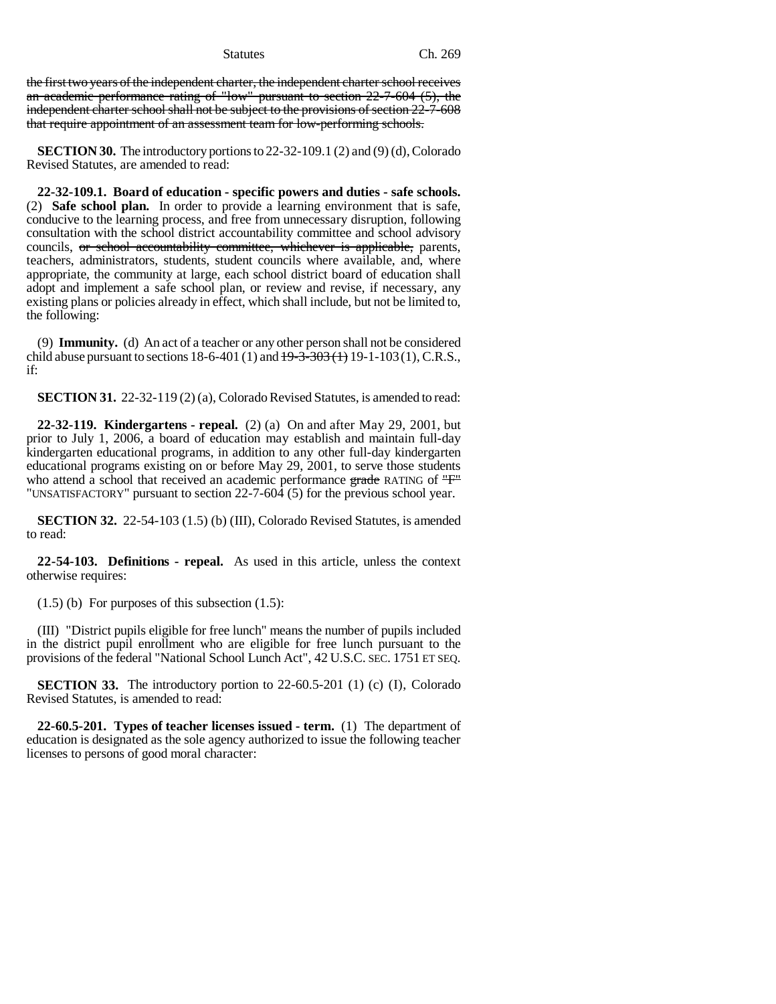Statutes Ch. 269

the first two years of the independent charter, the independent charter school receives an academic performance rating of "low" pursuant to section 22-7-604 (5), the independent charter school shall not be subject to the provisions of section 22-7-608 that require appointment of an assessment team for low-performing schools.

**SECTION 30.** The introductory portions to 22-32-109.1 (2) and (9) (d), Colorado Revised Statutes, are amended to read:

**22-32-109.1. Board of education - specific powers and duties - safe schools.** (2) **Safe school plan.** In order to provide a learning environment that is safe, conducive to the learning process, and free from unnecessary disruption, following consultation with the school district accountability committee and school advisory councils, or school accountability committee, whichever is applicable, parents, teachers, administrators, students, student councils where available, and, where appropriate, the community at large, each school district board of education shall adopt and implement a safe school plan, or review and revise, if necessary, any existing plans or policies already in effect, which shall include, but not be limited to, the following:

(9) **Immunity.** (d) An act of a teacher or any other person shall not be considered child abuse pursuant to sections  $18-6-401$  (1) and  $19-3-303$  (1)  $19-1-103$  (1), C.R.S., if:

**SECTION 31.** 22-32-119 (2) (a), Colorado Revised Statutes, is amended to read:

**22-32-119. Kindergartens - repeal.** (2) (a) On and after May 29, 2001, but prior to July 1, 2006, a board of education may establish and maintain full-day kindergarten educational programs, in addition to any other full-day kindergarten educational programs existing on or before May 29, 2001, to serve those students who attend a school that received an academic performance grade RATING of "F" "UNSATISFACTORY" pursuant to section 22-7-604 (5) for the previous school year.

**SECTION 32.** 22-54-103 (1.5) (b) (III), Colorado Revised Statutes, is amended to read:

**22-54-103. Definitions - repeal.** As used in this article, unless the context otherwise requires:

 $(1.5)$  (b) For purposes of this subsection  $(1.5)$ :

(III) "District pupils eligible for free lunch" means the number of pupils included in the district pupil enrollment who are eligible for free lunch pursuant to the provisions of the federal "National School Lunch Act", 42 U.S.C. SEC. 1751 ET SEQ.

**SECTION 33.** The introductory portion to 22-60.5-201 (1) (c) (I), Colorado Revised Statutes, is amended to read:

**22-60.5-201. Types of teacher licenses issued - term.** (1) The department of education is designated as the sole agency authorized to issue the following teacher licenses to persons of good moral character: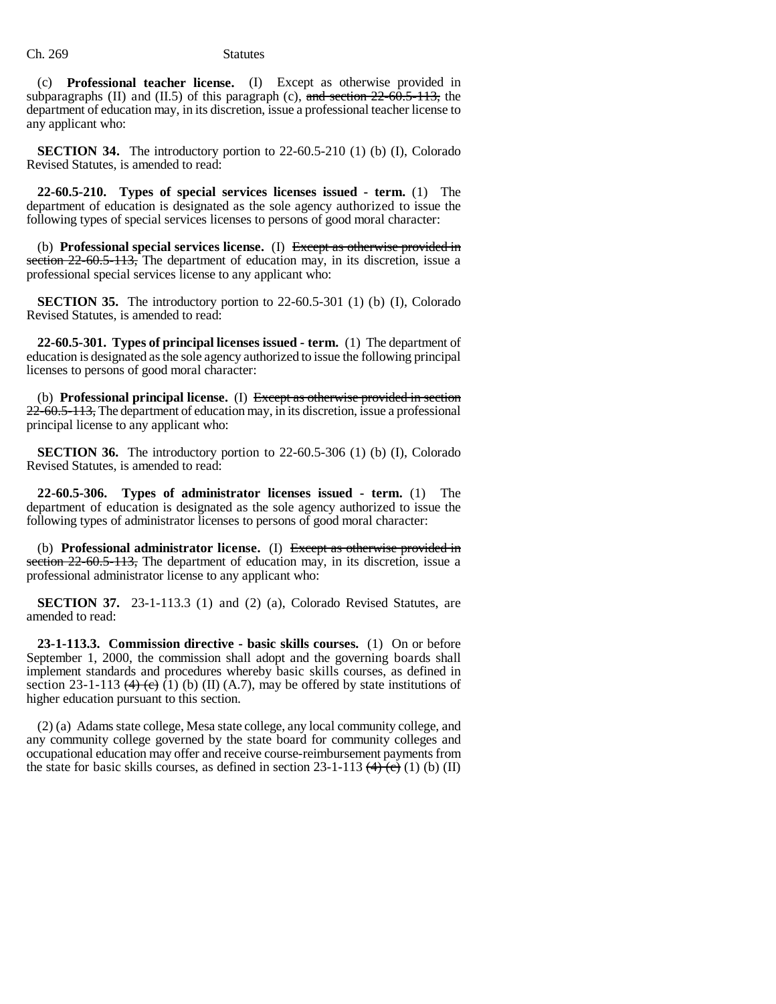(c) **Professional teacher license.** (I) Except as otherwise provided in subparagraphs (II) and (II.5) of this paragraph (c),  $\frac{1}{2}$  and section 22-60.5-113, the department of education may, in its discretion, issue a professional teacher license to any applicant who:

**SECTION 34.** The introductory portion to 22-60.5-210 (1) (b) (I), Colorado Revised Statutes, is amended to read:

**22-60.5-210. Types of special services licenses issued - term.** (1) The department of education is designated as the sole agency authorized to issue the following types of special services licenses to persons of good moral character:

(b) **Professional special services license.** (I) Except as otherwise provided in section 22-60.5-113, The department of education may, in its discretion, issue a professional special services license to any applicant who:

**SECTION 35.** The introductory portion to 22-60.5-301 (1) (b) (I), Colorado Revised Statutes, is amended to read:

**22-60.5-301. Types of principal licenses issued - term.** (1) The department of education is designated as the sole agency authorized to issue the following principal licenses to persons of good moral character:

(b) **Professional principal license.** (I) Except as otherwise provided in section 22-60.5-113, The department of education may, in its discretion, issue a professional principal license to any applicant who:

**SECTION 36.** The introductory portion to 22-60.5-306 (1) (b) (I), Colorado Revised Statutes, is amended to read:

**22-60.5-306. Types of administrator licenses issued - term.** (1) The department of education is designated as the sole agency authorized to issue the following types of administrator licenses to persons of good moral character:

(b) **Professional administrator license.** (I) Except as otherwise provided in section 22-60.5-113, The department of education may, in its discretion, issue a professional administrator license to any applicant who:

**SECTION 37.** 23-1-113.3 (1) and (2) (a), Colorado Revised Statutes, are amended to read:

**23-1-113.3. Commission directive - basic skills courses.** (1) On or before September 1, 2000, the commission shall adopt and the governing boards shall implement standards and procedures whereby basic skills courses, as defined in section 23-1-113  $(4)$   $(6)$   $(1)$   $(6)$   $(II)$   $(A.7)$ , may be offered by state institutions of higher education pursuant to this section.

(2) (a) Adams state college, Mesa state college, any local community college, and any community college governed by the state board for community colleges and occupational education may offer and receive course-reimbursement payments from the state for basic skills courses, as defined in section  $23-1-113$  (4) (e) (1) (b) (II)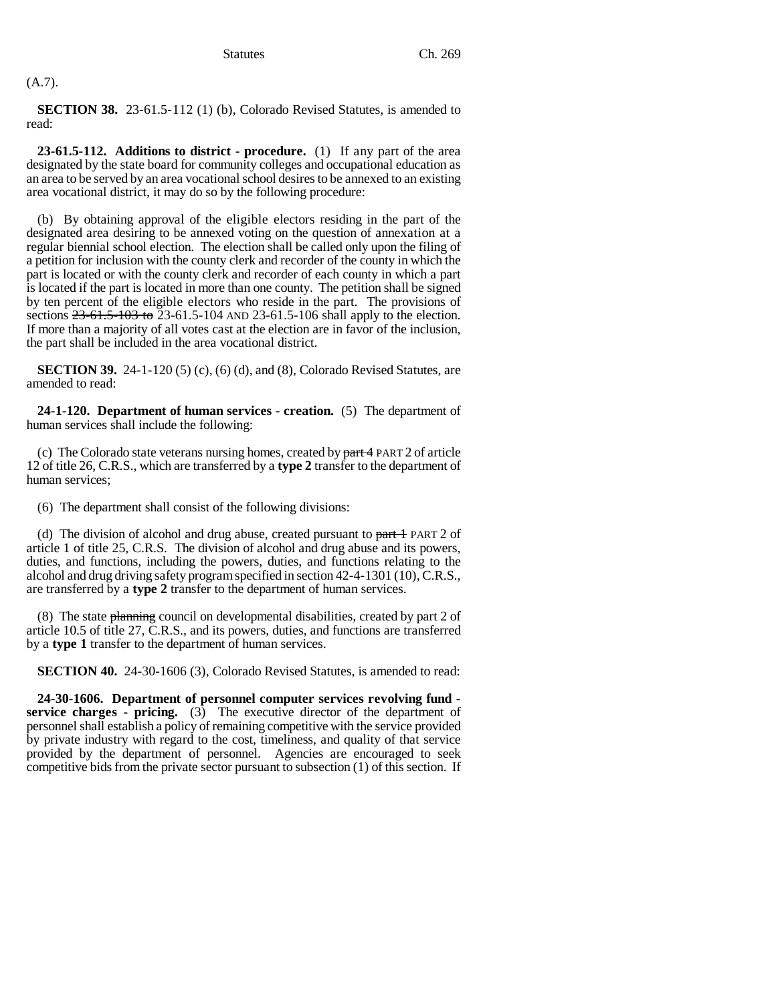# (A.7).

**SECTION 38.** 23-61.5-112 (1) (b), Colorado Revised Statutes, is amended to read:

**23-61.5-112. Additions to district - procedure.** (1) If any part of the area designated by the state board for community colleges and occupational education as an area to be served by an area vocational school desires to be annexed to an existing area vocational district, it may do so by the following procedure:

(b) By obtaining approval of the eligible electors residing in the part of the designated area desiring to be annexed voting on the question of annexation at a regular biennial school election. The election shall be called only upon the filing of a petition for inclusion with the county clerk and recorder of the county in which the part is located or with the county clerk and recorder of each county in which a part is located if the part is located in more than one county. The petition shall be signed by ten percent of the eligible electors who reside in the part. The provisions of sections 23-61.5-103 to 23-61.5-104 AND 23-61.5-106 shall apply to the election. If more than a majority of all votes cast at the election are in favor of the inclusion, the part shall be included in the area vocational district.

**SECTION 39.** 24-1-120 (5) (c), (6) (d), and (8), Colorado Revised Statutes, are amended to read:

**24-1-120. Department of human services - creation.** (5) The department of human services shall include the following:

(c) The Colorado state veterans nursing homes, created by  $part 4$  PART 2 of article 12 of title 26, C.R.S., which are transferred by a **type 2** transfer to the department of human services;

(6) The department shall consist of the following divisions:

(d) The division of alcohol and drug abuse, created pursuant to  $part 1$  PART 2 of article 1 of title 25, C.R.S. The division of alcohol and drug abuse and its powers, duties, and functions, including the powers, duties, and functions relating to the alcohol and drug driving safety program specified in section 42-4-1301 (10), C.R.S., are transferred by a **type 2** transfer to the department of human services.

(8) The state  $\frac{1}{2}$  planning council on developmental disabilities, created by part 2 of article 10.5 of title 27, C.R.S., and its powers, duties, and functions are transferred by a **type 1** transfer to the department of human services.

**SECTION 40.** 24-30-1606 (3), Colorado Revised Statutes, is amended to read:

**24-30-1606. Department of personnel computer services revolving fund service charges - pricing.** (3) The executive director of the department of personnel shall establish a policy of remaining competitive with the service provided by private industry with regard to the cost, timeliness, and quality of that service provided by the department of personnel. Agencies are encouraged to seek competitive bids from the private sector pursuant to subsection (1) of this section. If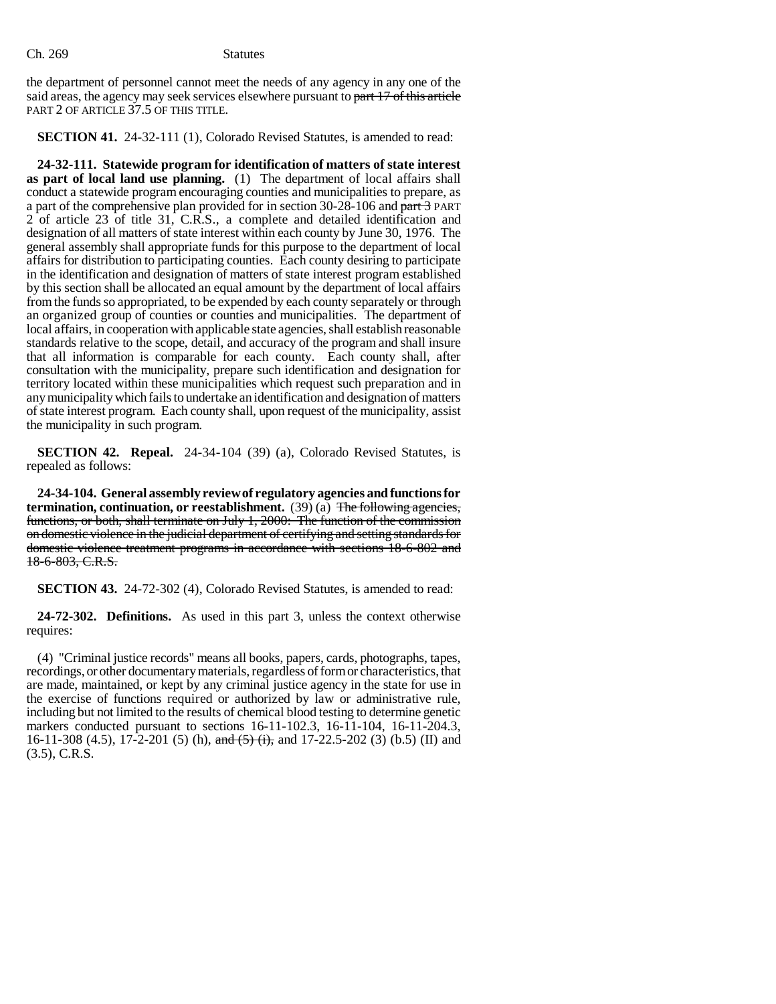the department of personnel cannot meet the needs of any agency in any one of the said areas, the agency may seek services elsewhere pursuant to part 17 of this article PART 2 OF ARTICLE 37.5 OF THIS TITLE.

# **SECTION 41.** 24-32-111 (1), Colorado Revised Statutes, is amended to read:

**24-32-111. Statewide program for identification of matters of state interest as part of local land use planning.** (1) The department of local affairs shall conduct a statewide program encouraging counties and municipalities to prepare, as a part of the comprehensive plan provided for in section 30-28-106 and part 3 PART 2 of article 23 of title 31, C.R.S., a complete and detailed identification and designation of all matters of state interest within each county by June 30, 1976. The general assembly shall appropriate funds for this purpose to the department of local affairs for distribution to participating counties. Each county desiring to participate in the identification and designation of matters of state interest program established by this section shall be allocated an equal amount by the department of local affairs from the funds so appropriated, to be expended by each county separately or through an organized group of counties or counties and municipalities. The department of local affairs, in cooperation with applicable state agencies, shall establish reasonable standards relative to the scope, detail, and accuracy of the program and shall insure that all information is comparable for each county. Each county shall, after consultation with the municipality, prepare such identification and designation for territory located within these municipalities which request such preparation and in any municipality which fails to undertake an identification and designation of matters of state interest program. Each county shall, upon request of the municipality, assist the municipality in such program.

**SECTION 42. Repeal.** 24-34-104 (39) (a), Colorado Revised Statutes, is repealed as follows:

**24-34-104. General assembly review of regulatory agencies and functions for termination, continuation, or reestablishment.** (39) (a) The following agencies, functions, or both, shall terminate on July 1, 2000: The function of the commission on domestic violence in the judicial department of certifying and setting standards for domestic violence treatment programs in accordance with sections 18-6-802 and 18-6-803, C.R.S.

**SECTION 43.** 24-72-302 (4), Colorado Revised Statutes, is amended to read:

**24-72-302. Definitions.** As used in this part 3, unless the context otherwise requires:

(4) "Criminal justice records" means all books, papers, cards, photographs, tapes, recordings, or other documentary materials, regardless of form or characteristics, that are made, maintained, or kept by any criminal justice agency in the state for use in the exercise of functions required or authorized by law or administrative rule, including but not limited to the results of chemical blood testing to determine genetic markers conducted pursuant to sections 16-11-102.3, 16-11-104, 16-11-204.3, 16-11-308 (4.5), 17-2-201 (5) (h), and  $(5)$  (i), and 17-22.5-202 (3) (b.5) (II) and (3.5), C.R.S.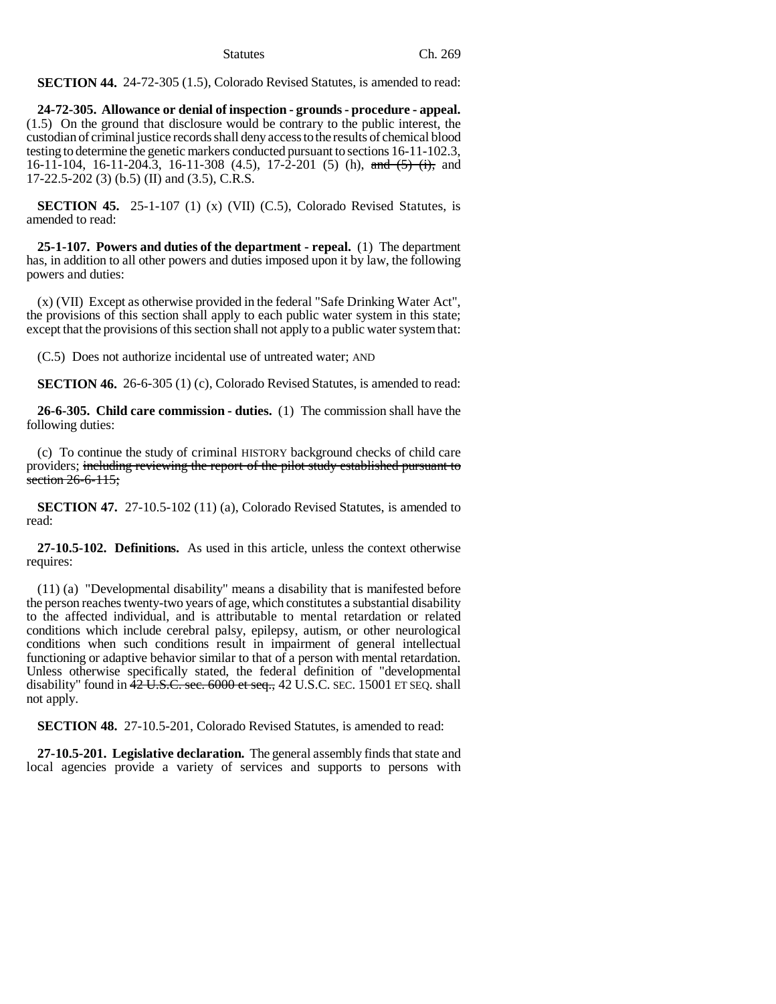**SECTION 44.** 24-72-305 (1.5), Colorado Revised Statutes, is amended to read:

**24-72-305. Allowance or denial of inspection - grounds - procedure - appeal.** (1.5) On the ground that disclosure would be contrary to the public interest, the custodian of criminal justice records shall deny access to the results of chemical blood testing to determine the genetic markers conducted pursuant to sections 16-11-102.3, 16-11-104, 16-11-204.3, 16-11-308 (4.5), 17-2-201 (5) (h), and (5) (i), and 17-22.5-202 (3) (b.5) (II) and (3.5), C.R.S.

**SECTION 45.** 25-1-107 (1) (x) (VII) (C.5), Colorado Revised Statutes, is amended to read:

**25-1-107. Powers and duties of the department - repeal.** (1) The department has, in addition to all other powers and duties imposed upon it by law, the following powers and duties:

(x) (VII) Except as otherwise provided in the federal "Safe Drinking Water Act", the provisions of this section shall apply to each public water system in this state; except that the provisions of this section shall not apply to a public water system that:

(C.5) Does not authorize incidental use of untreated water; AND

**SECTION 46.** 26-6-305 (1) (c), Colorado Revised Statutes, is amended to read:

**26-6-305. Child care commission - duties.** (1) The commission shall have the following duties:

(c) To continue the study of criminal HISTORY background checks of child care providers; including reviewing the report of the pilot study established pursuant to section 26-6-115;

**SECTION 47.** 27-10.5-102 (11) (a), Colorado Revised Statutes, is amended to read:

**27-10.5-102. Definitions.** As used in this article, unless the context otherwise requires:

(11) (a) "Developmental disability" means a disability that is manifested before the person reaches twenty-two years of age, which constitutes a substantial disability to the affected individual, and is attributable to mental retardation or related conditions which include cerebral palsy, epilepsy, autism, or other neurological conditions when such conditions result in impairment of general intellectual functioning or adaptive behavior similar to that of a person with mental retardation. Unless otherwise specifically stated, the federal definition of "developmental disability" found in  $42 \text{ U.S. C. sec. } 6000 \text{ et sec. } 42 \text{ U.S. C. } \text{SEC. } 15001 \text{ ET } \text{SEQ. } \text{shall}$ not apply.

**SECTION 48.** 27-10.5-201, Colorado Revised Statutes, is amended to read:

**27-10.5-201. Legislative declaration.** The general assembly finds that state and local agencies provide a variety of services and supports to persons with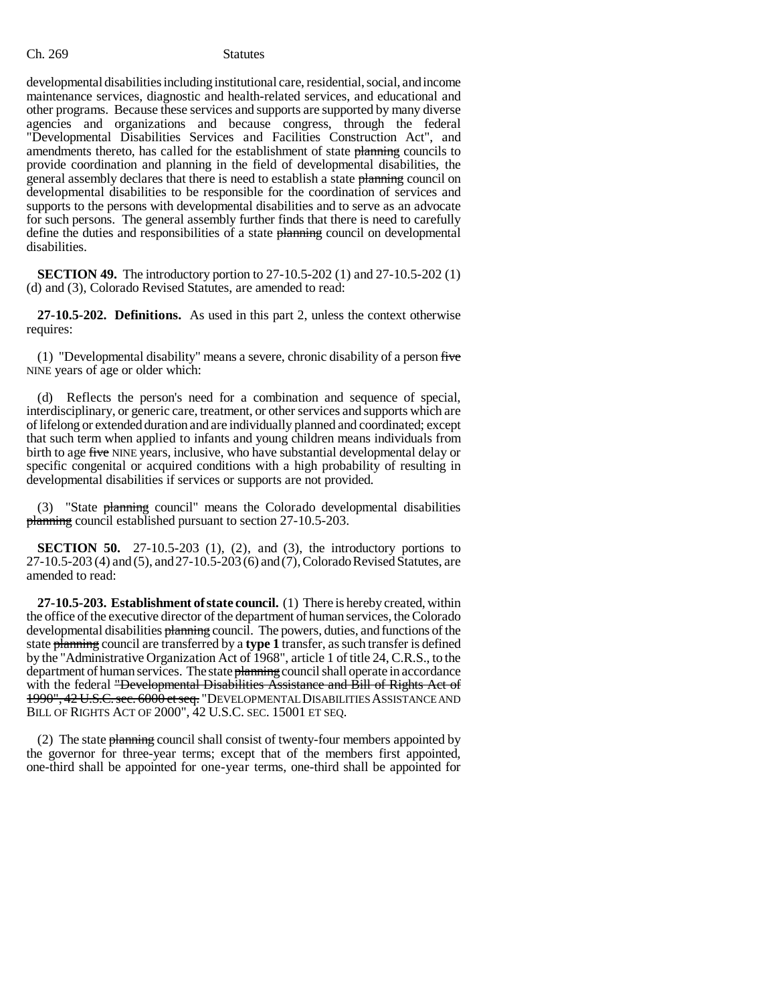developmental disabilities including institutional care, residential, social, and income maintenance services, diagnostic and health-related services, and educational and other programs. Because these services and supports are supported by many diverse agencies and organizations and because congress, through the federal "Developmental Disabilities Services and Facilities Construction Act", and amendments thereto, has called for the establishment of state planning councils to provide coordination and planning in the field of developmental disabilities, the general assembly declares that there is need to establish a state planning council on developmental disabilities to be responsible for the coordination of services and supports to the persons with developmental disabilities and to serve as an advocate for such persons. The general assembly further finds that there is need to carefully define the duties and responsibilities of a state planning council on developmental disabilities.

**SECTION 49.** The introductory portion to 27-10.5-202 (1) and 27-10.5-202 (1) (d) and (3), Colorado Revised Statutes, are amended to read:

**27-10.5-202. Definitions.** As used in this part 2, unless the context otherwise requires:

(1) "Developmental disability" means a severe, chronic disability of a person  $f<sub>ire</sub>$ NINE years of age or older which:

(d) Reflects the person's need for a combination and sequence of special, interdisciplinary, or generic care, treatment, or other services and supports which are of lifelong or extended duration and are individually planned and coordinated; except that such term when applied to infants and young children means individuals from birth to age five NINE years, inclusive, who have substantial developmental delay or specific congenital or acquired conditions with a high probability of resulting in developmental disabilities if services or supports are not provided.

(3) "State planning council" means the Colorado developmental disabilities planning council established pursuant to section 27-10.5-203.

**SECTION 50.** 27-10.5-203 (1), (2), and (3), the introductory portions to 27-10.5-203 (4) and (5), and 27-10.5-203 (6) and (7), Colorado Revised Statutes, are amended to read:

**27-10.5-203. Establishment of state council.** (1) There is hereby created, within the office of the executive director of the department of human services, the Colorado developmental disabilities planning council. The powers, duties, and functions of the state planning council are transferred by a **type 1** transfer, as such transfer is defined by the "Administrative Organization Act of 1968", article 1 of title 24, C.R.S., to the department of human services. The state planning council shall operate in accordance with the federal "Developmental Disabilities Assistance and Bill of Rights Act of 1990", 42 U.S.C. sec. 6000 et seq. "DEVELOPMENTAL DISABILITIES ASSISTANCE AND BILL OF RIGHTS ACT OF 2000", 42 U.S.C. SEC. 15001 ET SEQ.

(2) The state planning council shall consist of twenty-four members appointed by the governor for three-year terms; except that of the members first appointed, one-third shall be appointed for one-year terms, one-third shall be appointed for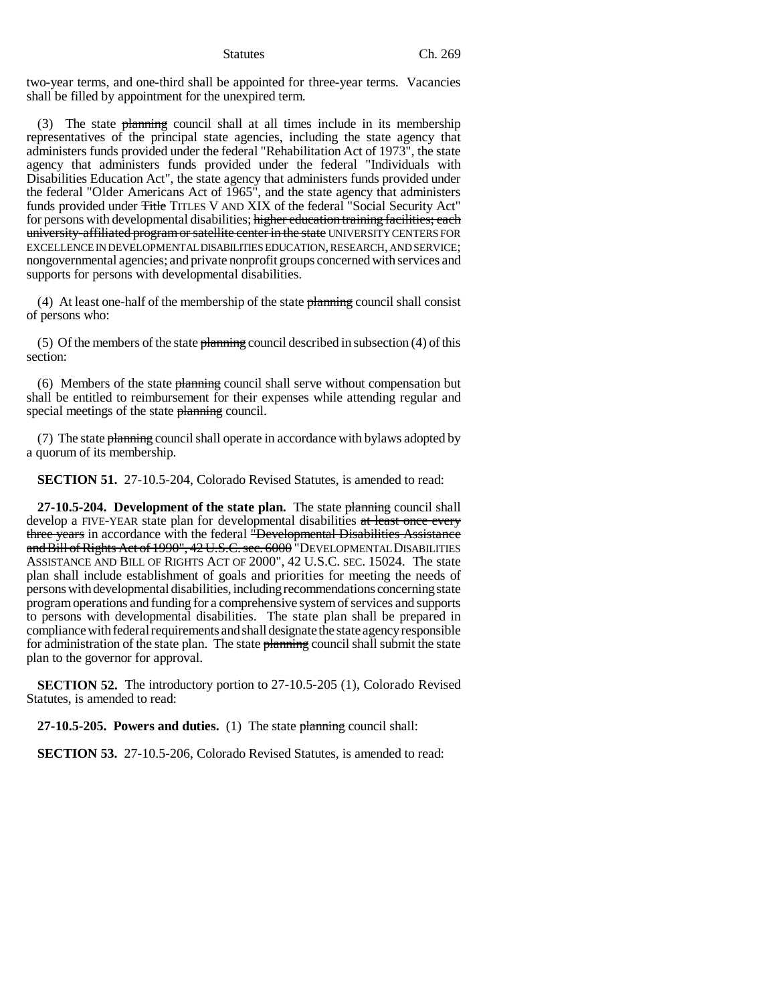two-year terms, and one-third shall be appointed for three-year terms. Vacancies shall be filled by appointment for the unexpired term.

(3) The state planning council shall at all times include in its membership representatives of the principal state agencies, including the state agency that administers funds provided under the federal "Rehabilitation Act of 1973", the state agency that administers funds provided under the federal "Individuals with Disabilities Education Act", the state agency that administers funds provided under the federal "Older Americans Act of 1965", and the state agency that administers funds provided under Title TITLES V AND XIX of the federal "Social Security Act" for persons with developmental disabilities; higher education training facilities; each university-affiliated program or satellite center in the state UNIVERSITY CENTERS FOR EXCELLENCE IN DEVELOPMENTAL DISABILITIES EDUCATION, RESEARCH, AND SERVICE; nongovernmental agencies; and private nonprofit groups concerned with services and supports for persons with developmental disabilities.

(4) At least one-half of the membership of the state  $\frac{1}{2}$  planning council shall consist of persons who:

(5) Of the members of the state  $\frac{1}{2}$  planning council described in subsection (4) of this section:

(6) Members of the state planning council shall serve without compensation but shall be entitled to reimbursement for their expenses while attending regular and special meetings of the state planning council.

(7) The state planning council shall operate in accordance with bylaws adopted by a quorum of its membership.

**SECTION 51.** 27-10.5-204, Colorado Revised Statutes, is amended to read:

**27-10.5-204. Development of the state plan.** The state planning council shall develop a FIVE-YEAR state plan for developmental disabilities at least once every three years in accordance with the federal "Developmental Disabilities Assistance and Bill of Rights Act of 1990", 42 U.S.C. sec. 6000 "DEVELOPMENTAL DISABILITIES ASSISTANCE AND BILL OF RIGHTS ACT OF 2000", 42 U.S.C. SEC. 15024. The state plan shall include establishment of goals and priorities for meeting the needs of persons with developmental disabilities, including recommendations concerning state program operations and funding for a comprehensive system of services and supports to persons with developmental disabilities. The state plan shall be prepared in compliance with federal requirements and shall designate the state agency responsible for administration of the state plan. The state planning council shall submit the state plan to the governor for approval.

**SECTION 52.** The introductory portion to 27-10.5-205 (1), Colorado Revised Statutes, is amended to read:

**27-10.5-205. Powers and duties.** (1) The state planning council shall:

**SECTION 53.** 27-10.5-206, Colorado Revised Statutes, is amended to read: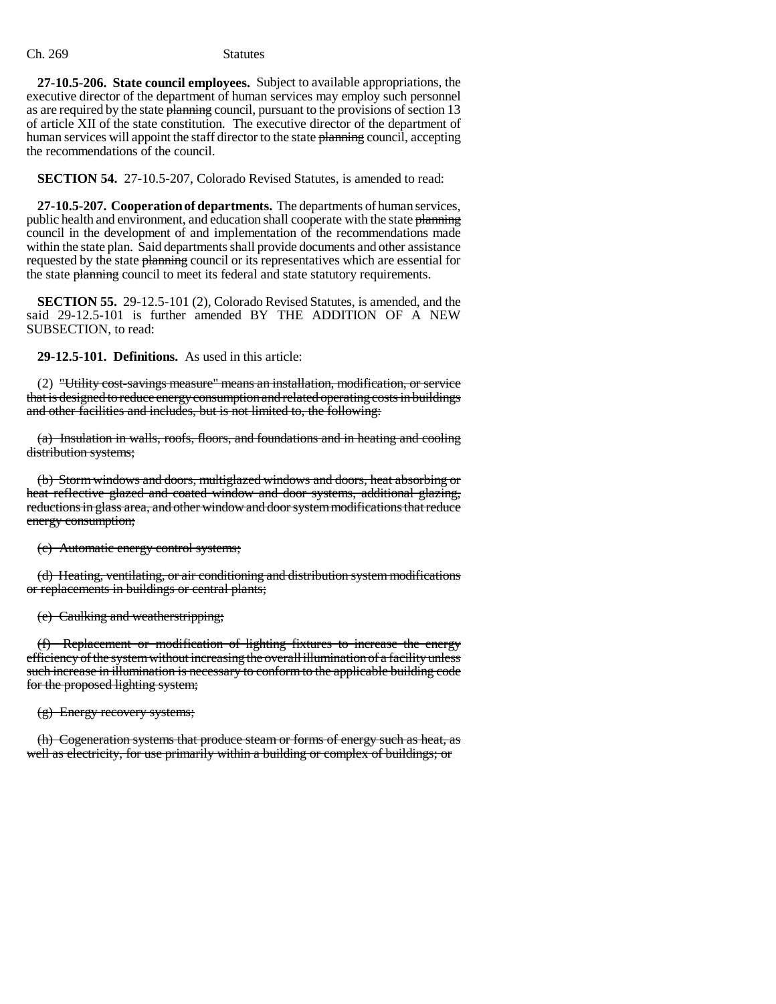**27-10.5-206. State council employees.** Subject to available appropriations, the executive director of the department of human services may employ such personnel as are required by the state planning council, pursuant to the provisions of section 13 of article XII of the state constitution. The executive director of the department of human services will appoint the staff director to the state planning council, accepting the recommendations of the council.

**SECTION 54.** 27-10.5-207, Colorado Revised Statutes, is amended to read:

**27-10.5-207. Cooperation of departments.** The departments of human services, public health and environment, and education shall cooperate with the state planning council in the development of and implementation of the recommendations made within the state plan. Said departments shall provide documents and other assistance requested by the state planning council or its representatives which are essential for the state planning council to meet its federal and state statutory requirements.

**SECTION 55.** 29-12.5-101 (2), Colorado Revised Statutes, is amended, and the said 29-12.5-101 is further amended BY THE ADDITION OF A NEW SUBSECTION, to read:

**29-12.5-101. Definitions.** As used in this article:

(2) "Utility cost-savings measure" means an installation, modification, or service that is designed to reduce energy consumption and related operating costs in buildings and other facilities and includes, but is not limited to, the following:

(a) Insulation in walls, roofs, floors, and foundations and in heating and cooling distribution systems;

(b) Storm windows and doors, multiglazed windows and doors, heat absorbing or heat reflective glazed and coated window and door systems, additional glazing, reductions in glass area, and other window and door system modifications that reduce energy consumption;

(c) Automatic energy control systems;

(d) Heating, ventilating, or air conditioning and distribution system modifications or replacements in buildings or central plants;

(e) Caulking and weatherstripping;

(f) Replacement or modification of lighting fixtures to increase the energy efficiency of the system without increasing the overall illumination of a facility unless such increase in illumination is necessary to conform to the applicable building code for the proposed lighting system;

(g) Energy recovery systems;

(h) Cogeneration systems that produce steam or forms of energy such as heat, as well as electricity, for use primarily within a building or complex of buildings; or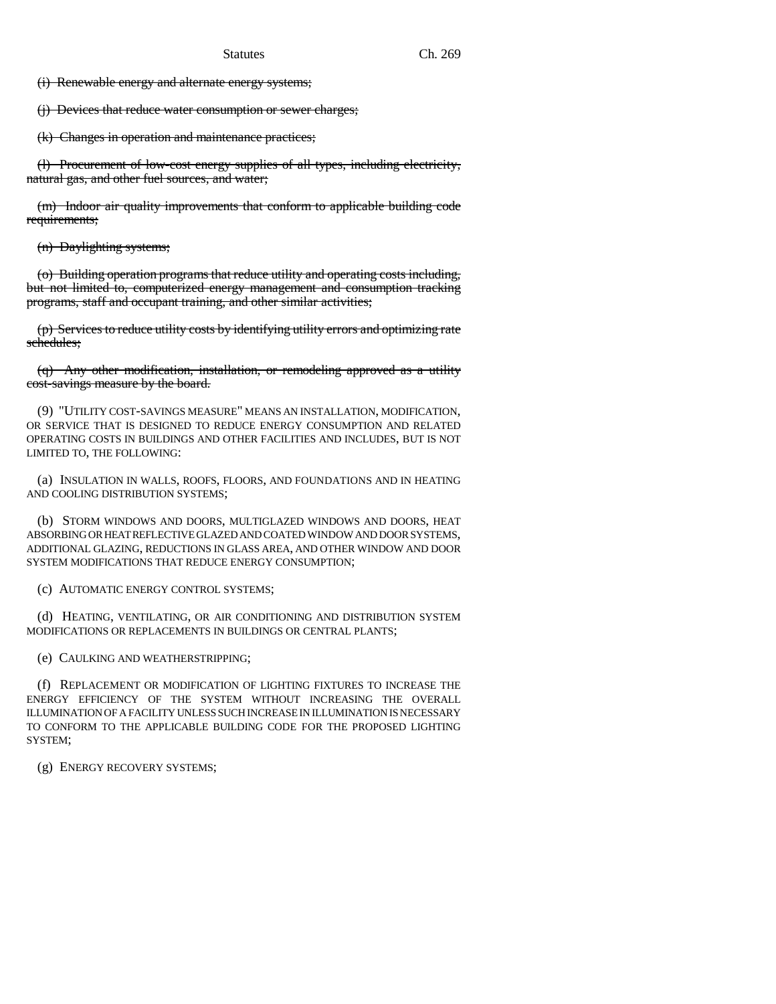(i) Renewable energy and alternate energy systems;

(j) Devices that reduce water consumption or sewer charges;

(k) Changes in operation and maintenance practices;

(l) Procurement of low-cost energy supplies of all types, including electricity, natural gas, and other fuel sources, and water;

(m) Indoor air quality improvements that conform to applicable building code requirements;

(n) Daylighting systems;

(o) Building operation programs that reduce utility and operating costs including, but not limited to, computerized energy management and consumption tracking programs, staff and occupant training, and other similar activities;

(p) Services to reduce utility costs by identifying utility errors and optimizing rate schedules;

(q) Any other modification, installation, or remodeling approved as a utility cost-savings measure by the board.

(9) "UTILITY COST-SAVINGS MEASURE" MEANS AN INSTALLATION, MODIFICATION, OR SERVICE THAT IS DESIGNED TO REDUCE ENERGY CONSUMPTION AND RELATED OPERATING COSTS IN BUILDINGS AND OTHER FACILITIES AND INCLUDES, BUT IS NOT LIMITED TO, THE FOLLOWING:

(a) INSULATION IN WALLS, ROOFS, FLOORS, AND FOUNDATIONS AND IN HEATING AND COOLING DISTRIBUTION SYSTEMS;

(b) STORM WINDOWS AND DOORS, MULTIGLAZED WINDOWS AND DOORS, HEAT ABSORBING OR HEAT REFLECTIVE GLAZED AND COATED WINDOW AND DOOR SYSTEMS, ADDITIONAL GLAZING, REDUCTIONS IN GLASS AREA, AND OTHER WINDOW AND DOOR SYSTEM MODIFICATIONS THAT REDUCE ENERGY CONSUMPTION;

(c) AUTOMATIC ENERGY CONTROL SYSTEMS;

(d) HEATING, VENTILATING, OR AIR CONDITIONING AND DISTRIBUTION SYSTEM MODIFICATIONS OR REPLACEMENTS IN BUILDINGS OR CENTRAL PLANTS;

(e) CAULKING AND WEATHERSTRIPPING;

(f) REPLACEMENT OR MODIFICATION OF LIGHTING FIXTURES TO INCREASE THE ENERGY EFFICIENCY OF THE SYSTEM WITHOUT INCREASING THE OVERALL ILLUMINATION OF A FACILITY UNLESS SUCH INCREASE IN ILLUMINATION IS NECESSARY TO CONFORM TO THE APPLICABLE BUILDING CODE FOR THE PROPOSED LIGHTING SYSTEM;

(g) ENERGY RECOVERY SYSTEMS;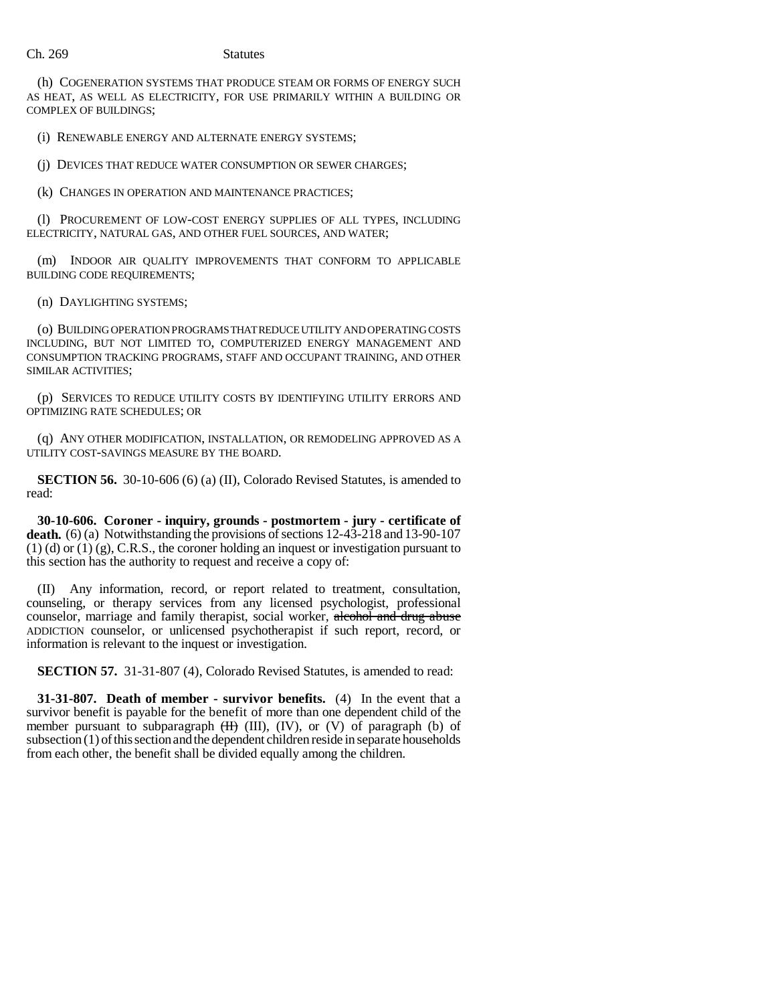(h) COGENERATION SYSTEMS THAT PRODUCE STEAM OR FORMS OF ENERGY SUCH AS HEAT, AS WELL AS ELECTRICITY, FOR USE PRIMARILY WITHIN A BUILDING OR COMPLEX OF BUILDINGS;

(i) RENEWABLE ENERGY AND ALTERNATE ENERGY SYSTEMS;

(j) DEVICES THAT REDUCE WATER CONSUMPTION OR SEWER CHARGES;

(k) CHANGES IN OPERATION AND MAINTENANCE PRACTICES;

(l) PROCUREMENT OF LOW-COST ENERGY SUPPLIES OF ALL TYPES, INCLUDING ELECTRICITY, NATURAL GAS, AND OTHER FUEL SOURCES, AND WATER;

(m) INDOOR AIR QUALITY IMPROVEMENTS THAT CONFORM TO APPLICABLE BUILDING CODE REQUIREMENTS;

(n) DAYLIGHTING SYSTEMS;

(o) BUILDING OPERATION PROGRAMS THAT REDUCE UTILITY AND OPERATING COSTS INCLUDING, BUT NOT LIMITED TO, COMPUTERIZED ENERGY MANAGEMENT AND CONSUMPTION TRACKING PROGRAMS, STAFF AND OCCUPANT TRAINING, AND OTHER SIMILAR ACTIVITIES;

(p) SERVICES TO REDUCE UTILITY COSTS BY IDENTIFYING UTILITY ERRORS AND OPTIMIZING RATE SCHEDULES; OR

(q) ANY OTHER MODIFICATION, INSTALLATION, OR REMODELING APPROVED AS A UTILITY COST-SAVINGS MEASURE BY THE BOARD.

**SECTION 56.** 30-10-606 (6) (a) (II), Colorado Revised Statutes, is amended to read:

**30-10-606. Coroner - inquiry, grounds - postmortem - jury - certificate of death.** (6) (a) Notwithstanding the provisions of sections 12-43-218 and 13-90-107 (1) (d) or (1) (g), C.R.S., the coroner holding an inquest or investigation pursuant to this section has the authority to request and receive a copy of:

(II) Any information, record, or report related to treatment, consultation, counseling, or therapy services from any licensed psychologist, professional counselor, marriage and family therapist, social worker, alcohol and drug abuse ADDICTION counselor, or unlicensed psychotherapist if such report, record, or information is relevant to the inquest or investigation.

**SECTION 57.** 31-31-807 (4), Colorado Revised Statutes, is amended to read:

**31-31-807. Death of member - survivor benefits.** (4) In the event that a survivor benefit is payable for the benefit of more than one dependent child of the member pursuant to subparagraph  $(H)$  (III), (IV), or (V) of paragraph (b) of subsection (1) of this section and the dependent children reside in separate households from each other, the benefit shall be divided equally among the children.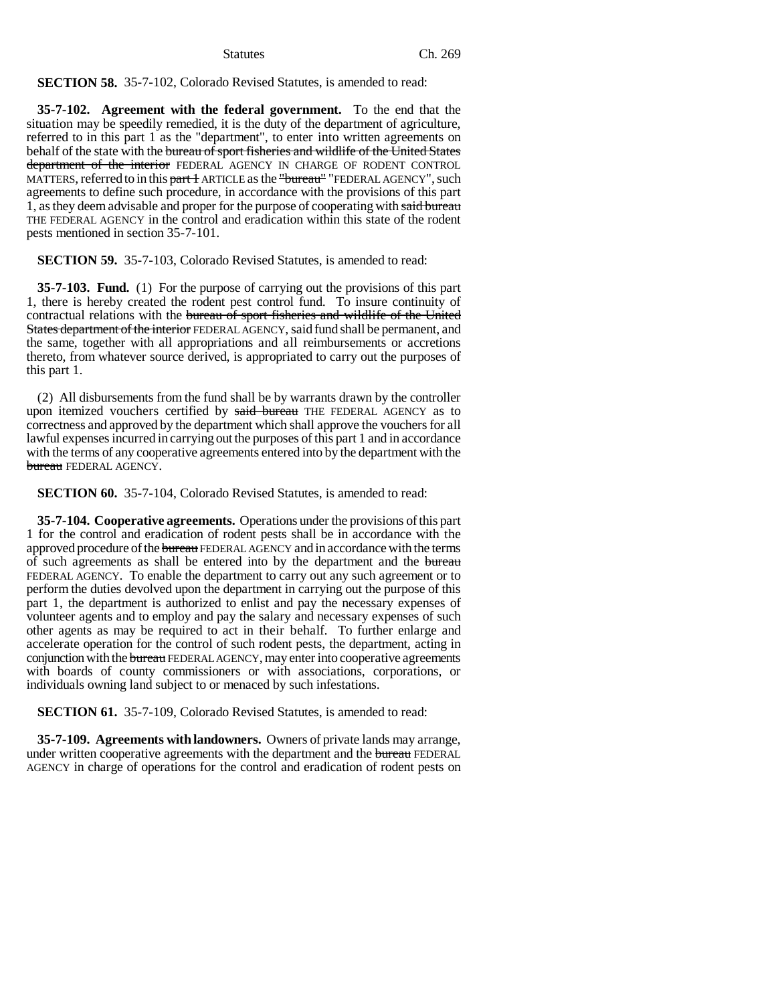Statutes Ch. 269

**SECTION 58.** 35-7-102, Colorado Revised Statutes, is amended to read:

**35-7-102. Agreement with the federal government.** To the end that the situation may be speedily remedied, it is the duty of the department of agriculture, referred to in this part 1 as the "department", to enter into written agreements on behalf of the state with the bureau of sport fisheries and wildlife of the United States department of the interior FEDERAL AGENCY IN CHARGE OF RODENT CONTROL MATTERS, referred to in this part 1 ARTICLE as the "bureau" "FEDERAL AGENCY", such agreements to define such procedure, in accordance with the provisions of this part 1, as they deem advisable and proper for the purpose of cooperating with said bureau THE FEDERAL AGENCY in the control and eradication within this state of the rodent pests mentioned in section 35-7-101.

**SECTION 59.** 35-7-103, Colorado Revised Statutes, is amended to read:

**35-7-103. Fund.** (1) For the purpose of carrying out the provisions of this part 1, there is hereby created the rodent pest control fund. To insure continuity of contractual relations with the bureau of sport fisheries and wildlife of the United States department of the interior FEDERAL AGENCY, said fund shall be permanent, and the same, together with all appropriations and all reimbursements or accretions thereto, from whatever source derived, is appropriated to carry out the purposes of this part 1.

(2) All disbursements from the fund shall be by warrants drawn by the controller upon itemized vouchers certified by said bureau THE FEDERAL AGENCY as to correctness and approved by the department which shall approve the vouchers for all lawful expenses incurred in carrying out the purposes of this part 1 and in accordance with the terms of any cooperative agreements entered into by the department with the bureau FEDERAL AGENCY.

**SECTION 60.** 35-7-104, Colorado Revised Statutes, is amended to read:

**35-7-104. Cooperative agreements.** Operations under the provisions of this part 1 for the control and eradication of rodent pests shall be in accordance with the approved procedure of the bureau FEDERAL AGENCY and in accordance with the terms of such agreements as shall be entered into by the department and the bureau FEDERAL AGENCY. To enable the department to carry out any such agreement or to perform the duties devolved upon the department in carrying out the purpose of this part 1, the department is authorized to enlist and pay the necessary expenses of volunteer agents and to employ and pay the salary and necessary expenses of such other agents as may be required to act in their behalf. To further enlarge and accelerate operation for the control of such rodent pests, the department, acting in conjunction with the bureau FEDERAL AGENCY, may enter into cooperative agreements with boards of county commissioners or with associations, corporations, or individuals owning land subject to or menaced by such infestations.

**SECTION 61.** 35-7-109, Colorado Revised Statutes, is amended to read:

**35-7-109. Agreements with landowners.** Owners of private lands may arrange, under written cooperative agreements with the department and the bureau FEDERAL AGENCY in charge of operations for the control and eradication of rodent pests on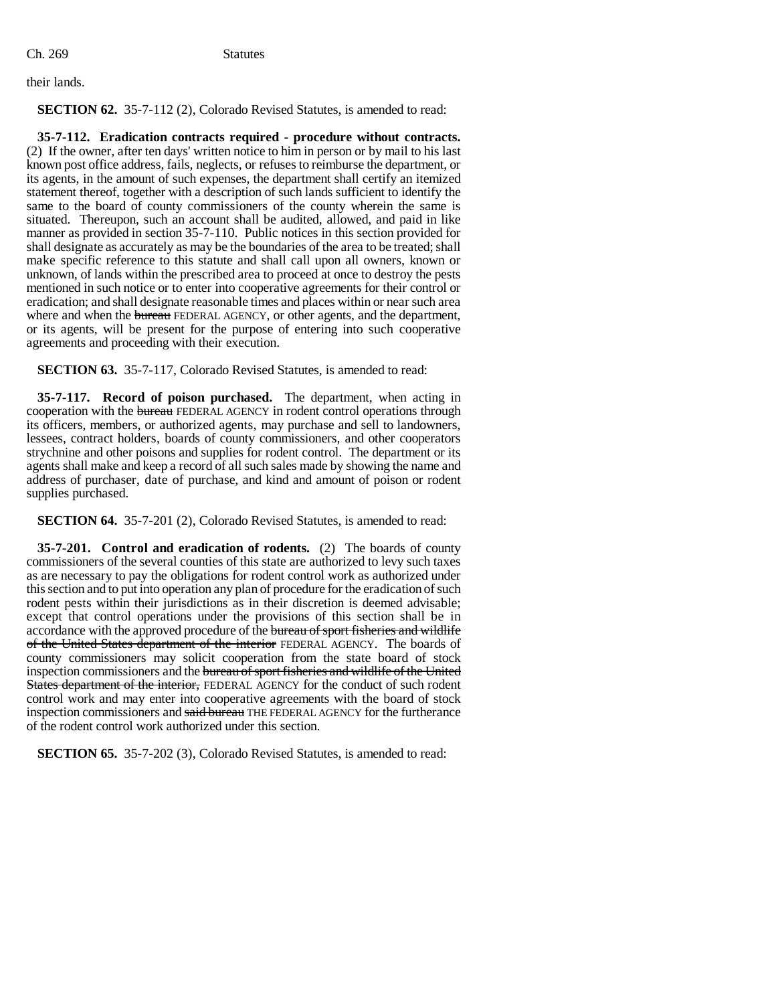their lands.

**SECTION 62.** 35-7-112 (2), Colorado Revised Statutes, is amended to read:

**35-7-112. Eradication contracts required - procedure without contracts.** (2) If the owner, after ten days' written notice to him in person or by mail to his last known post office address, fails, neglects, or refuses to reimburse the department, or its agents, in the amount of such expenses, the department shall certify an itemized statement thereof, together with a description of such lands sufficient to identify the same to the board of county commissioners of the county wherein the same is situated. Thereupon, such an account shall be audited, allowed, and paid in like manner as provided in section 35-7-110. Public notices in this section provided for shall designate as accurately as may be the boundaries of the area to be treated; shall make specific reference to this statute and shall call upon all owners, known or unknown, of lands within the prescribed area to proceed at once to destroy the pests mentioned in such notice or to enter into cooperative agreements for their control or eradication; and shall designate reasonable times and places within or near such area where and when the bureau FEDERAL AGENCY, or other agents, and the department, or its agents, will be present for the purpose of entering into such cooperative agreements and proceeding with their execution.

**SECTION 63.** 35-7-117, Colorado Revised Statutes, is amended to read:

**35-7-117. Record of poison purchased.** The department, when acting in cooperation with the bureau FEDERAL AGENCY in rodent control operations through its officers, members, or authorized agents, may purchase and sell to landowners, lessees, contract holders, boards of county commissioners, and other cooperators strychnine and other poisons and supplies for rodent control. The department or its agents shall make and keep a record of all such sales made by showing the name and address of purchaser, date of purchase, and kind and amount of poison or rodent supplies purchased.

**SECTION 64.** 35-7-201 (2), Colorado Revised Statutes, is amended to read:

**35-7-201. Control and eradication of rodents.** (2) The boards of county commissioners of the several counties of this state are authorized to levy such taxes as are necessary to pay the obligations for rodent control work as authorized under this section and to put into operation any plan of procedure for the eradication of such rodent pests within their jurisdictions as in their discretion is deemed advisable; except that control operations under the provisions of this section shall be in accordance with the approved procedure of the bureau of sport fisheries and wildlife of the United States department of the interior FEDERAL AGENCY. The boards of county commissioners may solicit cooperation from the state board of stock inspection commissioners and the bureau of sport fisheries and wildlife of the United **States department of the interior, FEDERAL AGENCY for the conduct of such rodent** control work and may enter into cooperative agreements with the board of stock inspection commissioners and said bureau THE FEDERAL AGENCY for the furtherance of the rodent control work authorized under this section.

**SECTION 65.** 35-7-202 (3), Colorado Revised Statutes, is amended to read: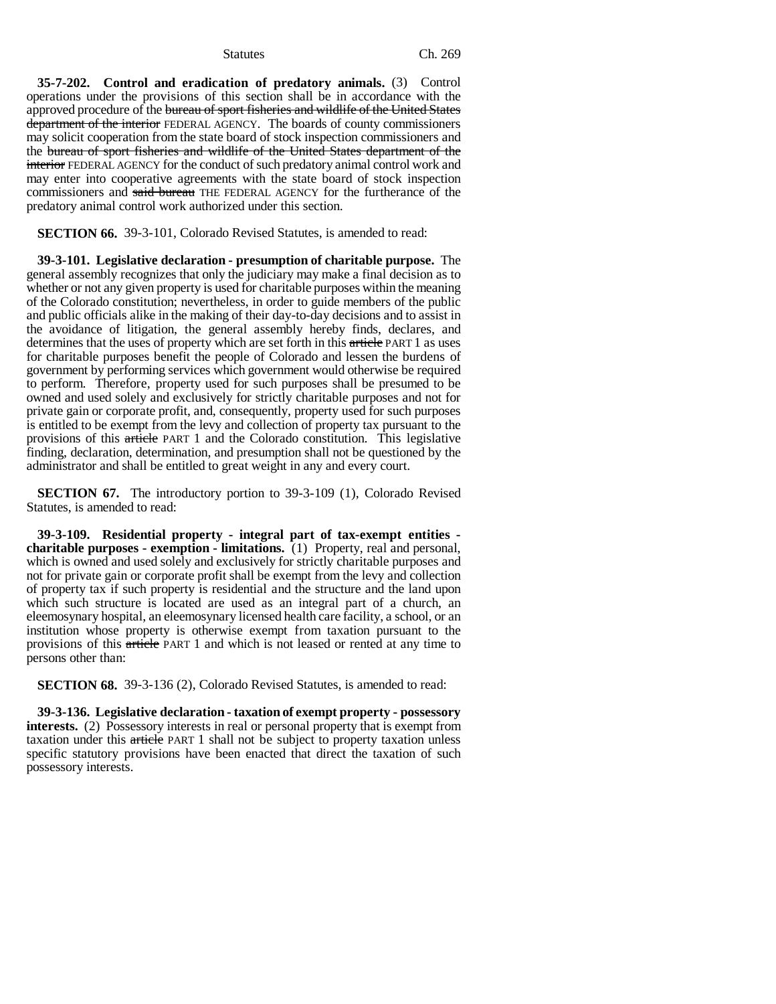**35-7-202. Control and eradication of predatory animals.** (3) Control operations under the provisions of this section shall be in accordance with the approved procedure of the bureau of sport fisheries and wildlife of the United States department of the interior FEDERAL AGENCY. The boards of county commissioners may solicit cooperation from the state board of stock inspection commissioners and the bureau of sport fisheries and wildlife of the United States department of the interior FEDERAL AGENCY for the conduct of such predatory animal control work and may enter into cooperative agreements with the state board of stock inspection commissioners and said bureau THE FEDERAL AGENCY for the furtherance of the predatory animal control work authorized under this section.

**SECTION 66.** 39-3-101, Colorado Revised Statutes, is amended to read:

**39-3-101. Legislative declaration - presumption of charitable purpose.** The general assembly recognizes that only the judiciary may make a final decision as to whether or not any given property is used for charitable purposes within the meaning of the Colorado constitution; nevertheless, in order to guide members of the public and public officials alike in the making of their day-to-day decisions and to assist in the avoidance of litigation, the general assembly hereby finds, declares, and determines that the uses of property which are set forth in this article PART 1 as uses for charitable purposes benefit the people of Colorado and lessen the burdens of government by performing services which government would otherwise be required to perform. Therefore, property used for such purposes shall be presumed to be owned and used solely and exclusively for strictly charitable purposes and not for private gain or corporate profit, and, consequently, property used for such purposes is entitled to be exempt from the levy and collection of property tax pursuant to the provisions of this article PART 1 and the Colorado constitution. This legislative finding, declaration, determination, and presumption shall not be questioned by the administrator and shall be entitled to great weight in any and every court.

**SECTION 67.** The introductory portion to 39-3-109 (1), Colorado Revised Statutes, is amended to read:

**39-3-109. Residential property - integral part of tax-exempt entities charitable purposes - exemption - limitations.** (1) Property, real and personal, which is owned and used solely and exclusively for strictly charitable purposes and not for private gain or corporate profit shall be exempt from the levy and collection of property tax if such property is residential and the structure and the land upon which such structure is located are used as an integral part of a church, an eleemosynary hospital, an eleemosynary licensed health care facility, a school, or an institution whose property is otherwise exempt from taxation pursuant to the provisions of this article PART 1 and which is not leased or rented at any time to persons other than:

**SECTION 68.** 39-3-136 (2), Colorado Revised Statutes, is amended to read:

**39-3-136. Legislative declaration - taxation of exempt property - possessory interests.** (2) Possessory interests in real or personal property that is exempt from taxation under this article PART 1 shall not be subject to property taxation unless specific statutory provisions have been enacted that direct the taxation of such possessory interests.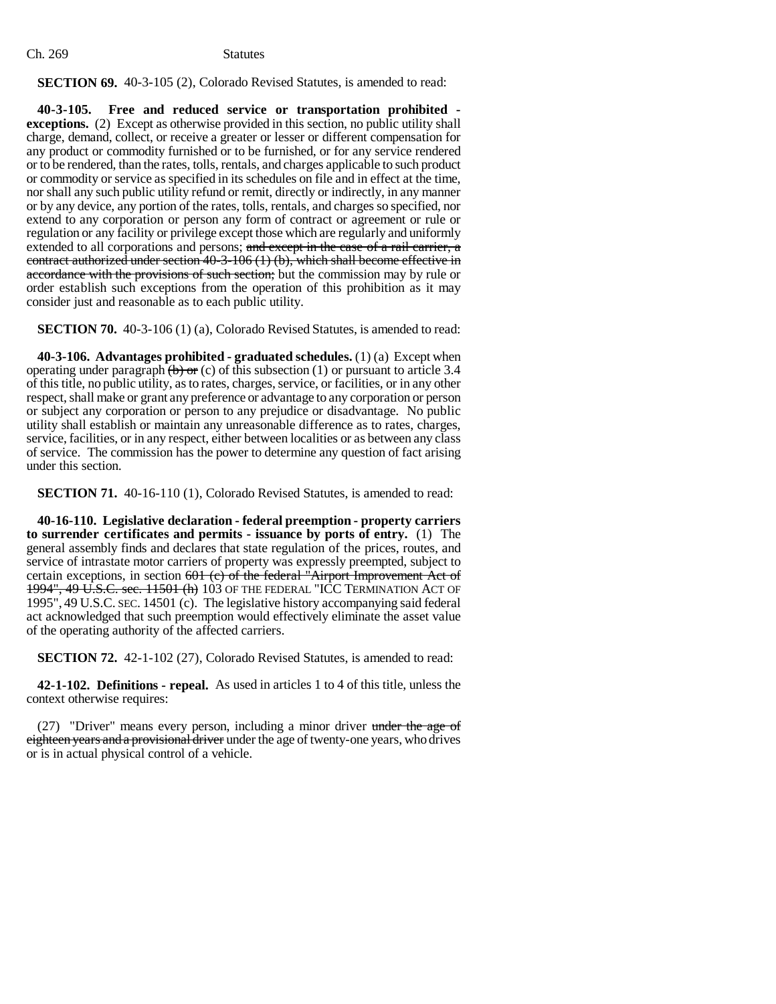**SECTION 69.** 40-3-105 (2), Colorado Revised Statutes, is amended to read:

**40-3-105. Free and reduced service or transportation prohibited exceptions.** (2) Except as otherwise provided in this section, no public utility shall charge, demand, collect, or receive a greater or lesser or different compensation for any product or commodity furnished or to be furnished, or for any service rendered or to be rendered, than the rates, tolls, rentals, and charges applicable to such product or commodity or service as specified in its schedules on file and in effect at the time, nor shall any such public utility refund or remit, directly or indirectly, in any manner or by any device, any portion of the rates, tolls, rentals, and charges so specified, nor extend to any corporation or person any form of contract or agreement or rule or regulation or any facility or privilege except those which are regularly and uniformly extended to all corporations and persons; and except in the case of a rail carrier, a contract authorized under section 40-3-106 (1) (b), which shall become effective in accordance with the provisions of such section; but the commission may by rule or order establish such exceptions from the operation of this prohibition as it may consider just and reasonable as to each public utility.

**SECTION 70.** 40-3-106 (1) (a), Colorado Revised Statutes, is amended to read:

**40-3-106. Advantages prohibited - graduated schedules.** (1) (a) Except when operating under paragraph  $\overline{(b)}$  or (c) of this subsection (1) or pursuant to article 3.4 of this title, no public utility, as to rates, charges, service, or facilities, or in any other respect, shall make or grant any preference or advantage to any corporation or person or subject any corporation or person to any prejudice or disadvantage. No public utility shall establish or maintain any unreasonable difference as to rates, charges, service, facilities, or in any respect, either between localities or as between any class of service. The commission has the power to determine any question of fact arising under this section.

**SECTION 71.** 40-16-110 (1), Colorado Revised Statutes, is amended to read:

**40-16-110. Legislative declaration - federal preemption - property carriers to surrender certificates and permits - issuance by ports of entry.** (1) The general assembly finds and declares that state regulation of the prices, routes, and service of intrastate motor carriers of property was expressly preempted, subject to certain exceptions, in section 601 (c) of the federal "Airport Improvement Act of 1994", 49 U.S.C. sec. 11501 (h) 103 OF THE FEDERAL "ICC TERMINATION ACT OF 1995", 49 U.S.C. SEC. 14501 (c). The legislative history accompanying said federal act acknowledged that such preemption would effectively eliminate the asset value of the operating authority of the affected carriers.

**SECTION 72.** 42-1-102 (27), Colorado Revised Statutes, is amended to read:

**42-1-102. Definitions - repeal.** As used in articles 1 to 4 of this title, unless the context otherwise requires:

(27) "Driver" means every person, including a minor driver under the age of eighteen years and a provisional driver under the age of twenty-one years, who drives or is in actual physical control of a vehicle.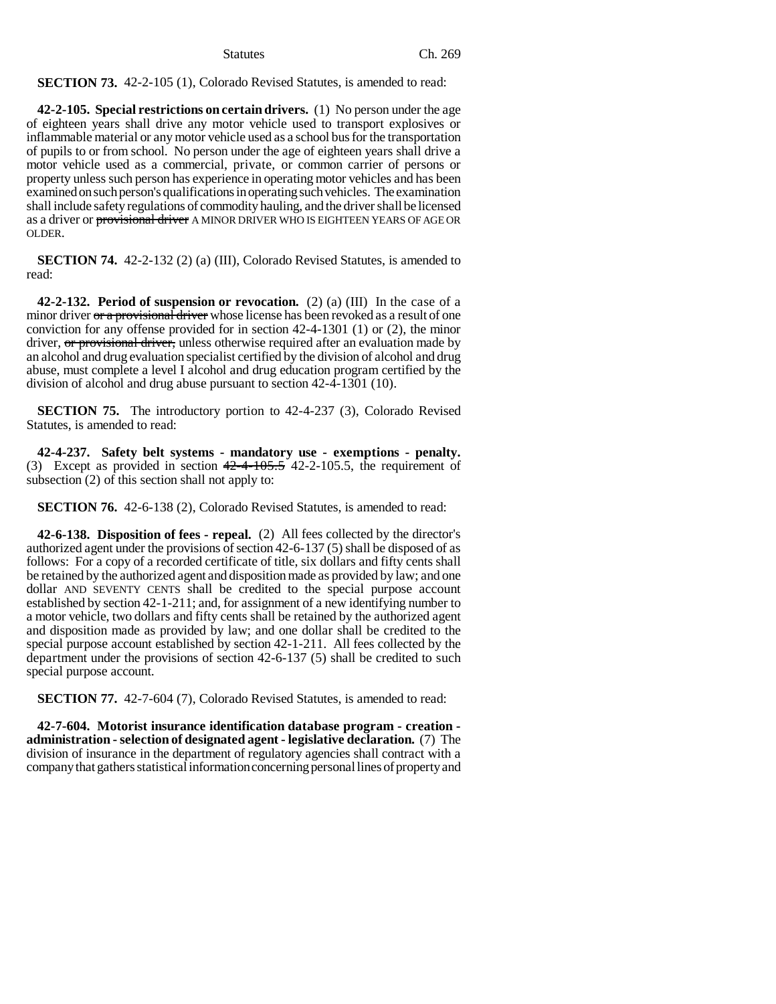# **SECTION 73.** 42-2-105 (1), Colorado Revised Statutes, is amended to read:

**42-2-105. Special restrictions on certain drivers.** (1) No person under the age of eighteen years shall drive any motor vehicle used to transport explosives or inflammable material or any motor vehicle used as a school bus for the transportation of pupils to or from school. No person under the age of eighteen years shall drive a motor vehicle used as a commercial, private, or common carrier of persons or property unless such person has experience in operating motor vehicles and has been examined on such person's qualifications in operating such vehicles. The examination shall include safety regulations of commodity hauling, and the driver shall be licensed as a driver or provisional driver A MINOR DRIVER WHO IS EIGHTEEN YEARS OF AGE OR OLDER.

**SECTION 74.** 42-2-132 (2) (a) (III), Colorado Revised Statutes, is amended to read:

**42-2-132. Period of suspension or revocation.** (2) (a) (III) In the case of a minor driver or a provisional driver whose license has been revoked as a result of one conviction for any offense provided for in section 42-4-1301 (1) or (2), the minor driver, or provisional driver, unless otherwise required after an evaluation made by an alcohol and drug evaluation specialist certified by the division of alcohol and drug abuse, must complete a level I alcohol and drug education program certified by the division of alcohol and drug abuse pursuant to section 42-4-1301 (10).

**SECTION 75.** The introductory portion to 42-4-237 (3), Colorado Revised Statutes, is amended to read:

**42-4-237. Safety belt systems - mandatory use - exemptions - penalty.** (3) Except as provided in section  $42-4-105.5$  42-2-105.5, the requirement of subsection (2) of this section shall not apply to:

**SECTION 76.** 42-6-138 (2), Colorado Revised Statutes, is amended to read:

**42-6-138. Disposition of fees - repeal.** (2) All fees collected by the director's authorized agent under the provisions of section 42-6-137 (5) shall be disposed of as follows: For a copy of a recorded certificate of title, six dollars and fifty cents shall be retained by the authorized agent and disposition made as provided by law; and one dollar AND SEVENTY CENTS shall be credited to the special purpose account established by section 42-1-211; and, for assignment of a new identifying number to a motor vehicle, two dollars and fifty cents shall be retained by the authorized agent and disposition made as provided by law; and one dollar shall be credited to the special purpose account established by section 42-1-211. All fees collected by the department under the provisions of section 42-6-137 (5) shall be credited to such special purpose account.

**SECTION 77.** 42-7-604 (7), Colorado Revised Statutes, is amended to read:

**42-7-604. Motorist insurance identification database program - creation administration - selection of designated agent - legislative declaration.** (7) The division of insurance in the department of regulatory agencies shall contract with a company that gathers statistical information concerning personal lines of property and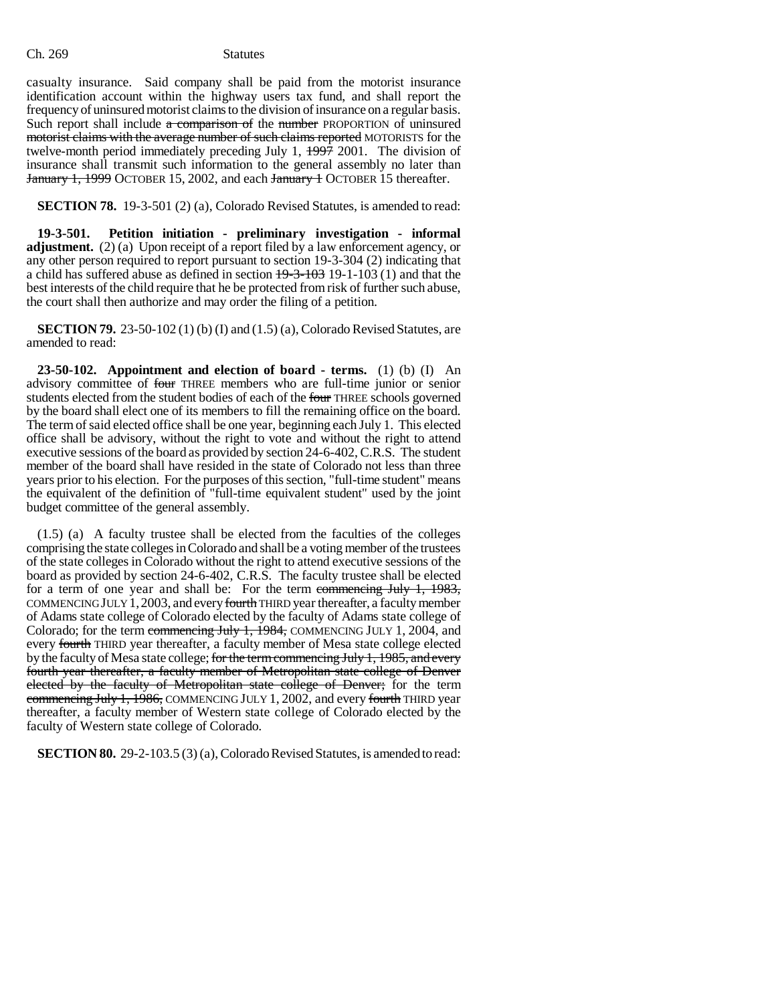casualty insurance. Said company shall be paid from the motorist insurance identification account within the highway users tax fund, and shall report the frequency of uninsured motorist claims to the division of insurance on a regular basis. Such report shall include  $\alpha$  comparison of the number PROPORTION of uninsured motorist claims with the average number of such claims reported MOTORISTS for the twelve-month period immediately preceding July 1,  $\frac{1997}{2001}$ . The division of insurance shall transmit such information to the general assembly no later than January 1, 1999 OCTOBER 15, 2002, and each January + OCTOBER 15 thereafter.

**SECTION 78.** 19-3-501 (2) (a), Colorado Revised Statutes, is amended to read:

**19-3-501. Petition initiation - preliminary investigation - informal adjustment.** (2) (a) Upon receipt of a report filed by a law enforcement agency, or any other person required to report pursuant to section 19-3-304 (2) indicating that a child has suffered abuse as defined in section  $19-3-103$  (1) and that the best interests of the child require that he be protected from risk of further such abuse, the court shall then authorize and may order the filing of a petition.

**SECTION 79.** 23-50-102 (1) (b) (I) and (1.5) (a), Colorado Revised Statutes, are amended to read:

**23-50-102. Appointment and election of board - terms.** (1) (b) (I) An advisory committee of four THREE members who are full-time junior or senior students elected from the student bodies of each of the four THREE schools governed by the board shall elect one of its members to fill the remaining office on the board. The term of said elected office shall be one year, beginning each July 1. This elected office shall be advisory, without the right to vote and without the right to attend executive sessions of the board as provided by section 24-6-402, C.R.S. The student member of the board shall have resided in the state of Colorado not less than three years prior to his election. For the purposes of this section, "full-time student" means the equivalent of the definition of "full-time equivalent student" used by the joint budget committee of the general assembly.

(1.5) (a) A faculty trustee shall be elected from the faculties of the colleges comprising the state colleges in Colorado and shall be a voting member of the trustees of the state colleges in Colorado without the right to attend executive sessions of the board as provided by section 24-6-402, C.R.S. The faculty trustee shall be elected for a term of one year and shall be: For the term commencing July 1, 1983, COMMENCING JULY 1,2003, and every fourth THIRD year thereafter, a faculty member of Adams state college of Colorado elected by the faculty of Adams state college of Colorado; for the term commencing July 1, 1984, COMMENCING JULY 1, 2004, and every fourth THIRD year thereafter, a faculty member of Mesa state college elected by the faculty of Mesa state college; for the term commencing July 1, 1985, and every fourth year thereafter, a faculty member of Metropolitan state college of Denver elected by the faculty of Metropolitan state college of Denver; for the term commencing July 1, 1986, COMMENCING JULY 1, 2002, and every fourth THIRD year thereafter, a faculty member of Western state college of Colorado elected by the faculty of Western state college of Colorado.

**SECTION 80.** 29-2-103.5 (3) (a), Colorado Revised Statutes, is amended to read: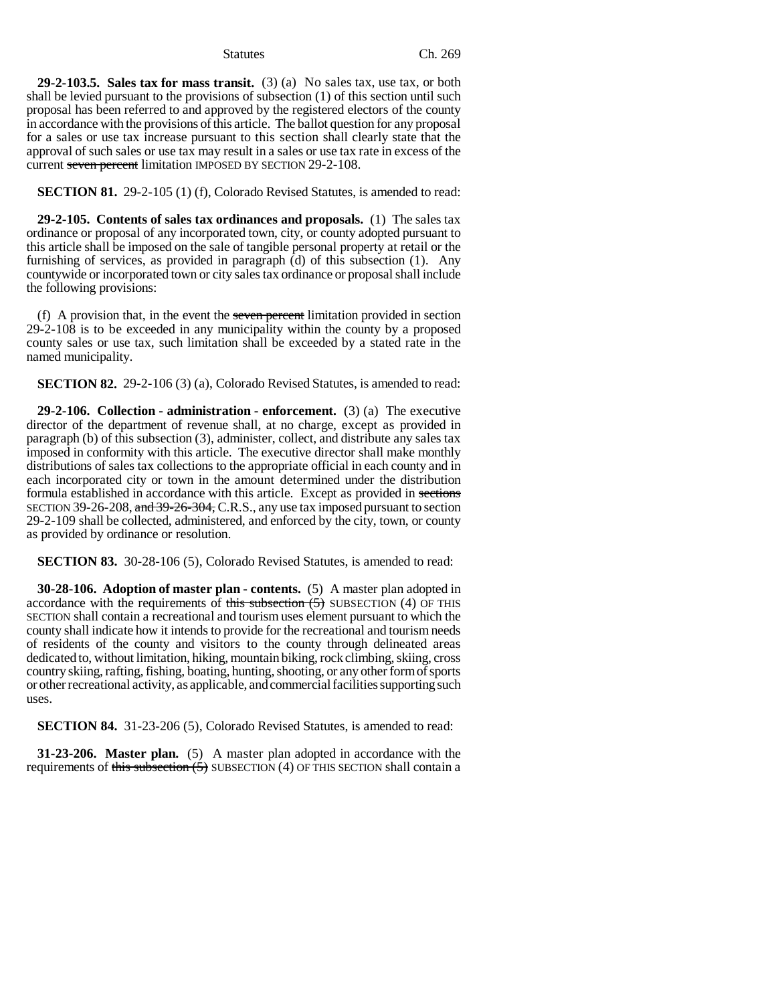### Statutes Ch. 269

**29-2-103.5. Sales tax for mass transit.** (3) (a) No sales tax, use tax, or both shall be levied pursuant to the provisions of subsection (1) of this section until such proposal has been referred to and approved by the registered electors of the county in accordance with the provisions of this article. The ballot question for any proposal for a sales or use tax increase pursuant to this section shall clearly state that the approval of such sales or use tax may result in a sales or use tax rate in excess of the current seven percent limitation IMPOSED BY SECTION 29-2-108.

**SECTION 81.** 29-2-105 (1) (f), Colorado Revised Statutes, is amended to read:

**29-2-105. Contents of sales tax ordinances and proposals.** (1) The sales tax ordinance or proposal of any incorporated town, city, or county adopted pursuant to this article shall be imposed on the sale of tangible personal property at retail or the furnishing of services, as provided in paragraph (d) of this subsection (1). Any countywide or incorporated town or city sales tax ordinance or proposal shall include the following provisions:

(f) A provision that, in the event the seven percent limitation provided in section 29-2-108 is to be exceeded in any municipality within the county by a proposed county sales or use tax, such limitation shall be exceeded by a stated rate in the named municipality.

**SECTION 82.** 29-2-106 (3) (a), Colorado Revised Statutes, is amended to read:

**29-2-106. Collection - administration - enforcement.** (3) (a) The executive director of the department of revenue shall, at no charge, except as provided in paragraph (b) of this subsection (3), administer, collect, and distribute any sales tax imposed in conformity with this article. The executive director shall make monthly distributions of sales tax collections to the appropriate official in each county and in each incorporated city or town in the amount determined under the distribution formula established in accordance with this article. Except as provided in sections SECTION 39-26-208, and 39-26-304, C.R.S., any use tax imposed pursuant to section 29-2-109 shall be collected, administered, and enforced by the city, town, or county as provided by ordinance or resolution.

**SECTION 83.** 30-28-106 (5), Colorado Revised Statutes, is amended to read:

**30-28-106. Adoption of master plan - contents.** (5) A master plan adopted in accordance with the requirements of this subsection  $(5)$  SUBSECTION (4) OF THIS SECTION shall contain a recreational and tourism uses element pursuant to which the county shall indicate how it intends to provide for the recreational and tourism needs of residents of the county and visitors to the county through delineated areas dedicated to, without limitation, hiking, mountain biking, rock climbing, skiing, cross country skiing, rafting, fishing, boating, hunting, shooting, or any other form of sports or other recreational activity, as applicable, and commercial facilities supporting such uses.

**SECTION 84.** 31-23-206 (5), Colorado Revised Statutes, is amended to read:

**31-23-206. Master plan.** (5) A master plan adopted in accordance with the requirements of this subsection  $(5)$  SUBSECTION (4) OF THIS SECTION shall contain a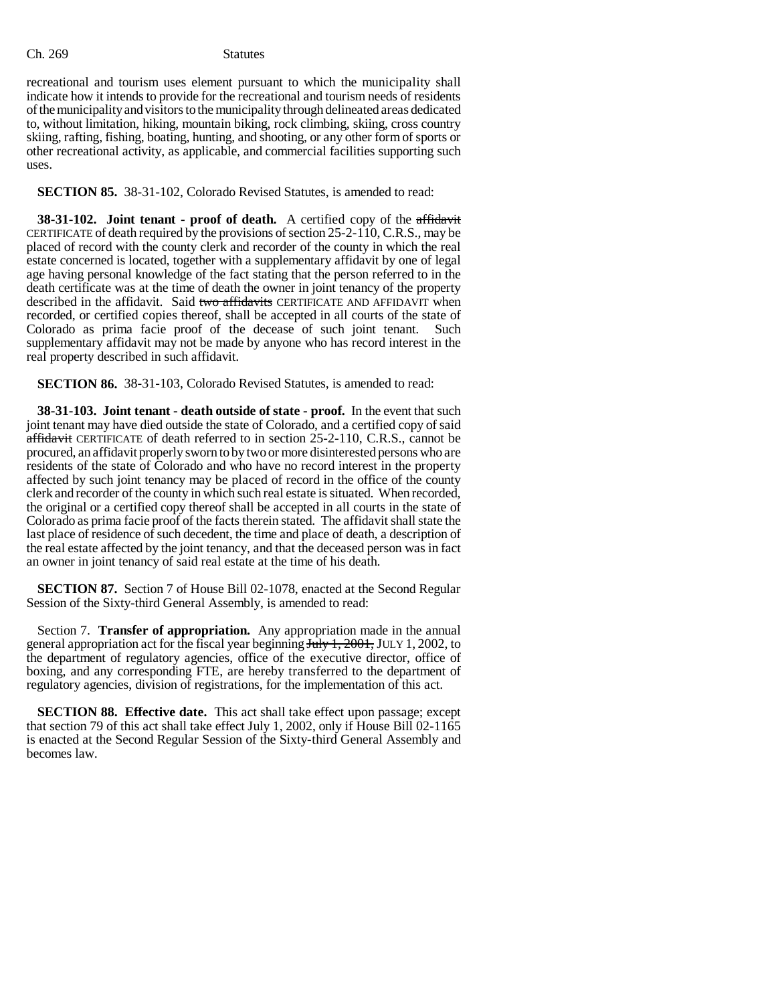recreational and tourism uses element pursuant to which the municipality shall indicate how it intends to provide for the recreational and tourism needs of residents of the municipality and visitors to the municipality through delineated areas dedicated to, without limitation, hiking, mountain biking, rock climbing, skiing, cross country skiing, rafting, fishing, boating, hunting, and shooting, or any other form of sports or other recreational activity, as applicable, and commercial facilities supporting such uses.

**SECTION 85.** 38-31-102, Colorado Revised Statutes, is amended to read:

**38-31-102.** Joint tenant - proof of death. A certified copy of the affidavit CERTIFICATE of death required by the provisions of section 25-2-110, C.R.S., may be placed of record with the county clerk and recorder of the county in which the real estate concerned is located, together with a supplementary affidavit by one of legal age having personal knowledge of the fact stating that the person referred to in the death certificate was at the time of death the owner in joint tenancy of the property described in the affidavit. Said two affidavits CERTIFICATE AND AFFIDAVIT when recorded, or certified copies thereof, shall be accepted in all courts of the state of Colorado as prima facie proof of the decease of such joint tenant. Such supplementary affidavit may not be made by anyone who has record interest in the real property described in such affidavit.

**SECTION 86.** 38-31-103, Colorado Revised Statutes, is amended to read:

**38-31-103. Joint tenant - death outside of state - proof.** In the event that such joint tenant may have died outside the state of Colorado, and a certified copy of said affidavit CERTIFICATE of death referred to in section 25-2-110, C.R.S., cannot be procured, an affidavit properly sworn to by two or more disinterested persons who are residents of the state of Colorado and who have no record interest in the property affected by such joint tenancy may be placed of record in the office of the county clerk and recorder of the county in which such real estate is situated. When recorded, the original or a certified copy thereof shall be accepted in all courts in the state of Colorado as prima facie proof of the facts therein stated. The affidavit shall state the last place of residence of such decedent, the time and place of death, a description of the real estate affected by the joint tenancy, and that the deceased person was in fact an owner in joint tenancy of said real estate at the time of his death.

**SECTION 87.** Section 7 of House Bill 02-1078, enacted at the Second Regular Session of the Sixty-third General Assembly, is amended to read:

Section 7. **Transfer of appropriation.** Any appropriation made in the annual general appropriation act for the fiscal year beginning  $J_{\text{uly}}\,1,2001$ , JULY 1, 2002, to the department of regulatory agencies, office of the executive director, office of boxing, and any corresponding FTE, are hereby transferred to the department of regulatory agencies, division of registrations, for the implementation of this act.

**SECTION 88. Effective date.** This act shall take effect upon passage; except that section 79 of this act shall take effect July 1, 2002, only if House Bill 02-1165 is enacted at the Second Regular Session of the Sixty-third General Assembly and becomes law.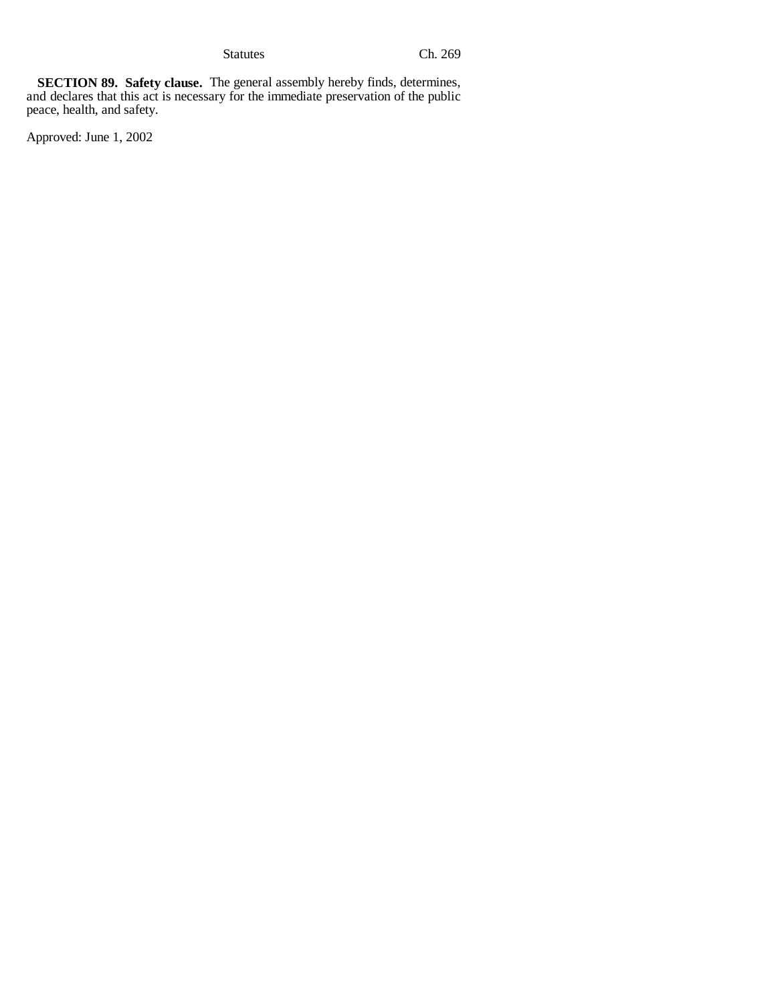Statutes Ch. 269

**SECTION 89. Safety clause.** The general assembly hereby finds, determines, and declares that this act is necessary for the immediate preservation of the public peace, health, and safety.

Approved: June 1, 2002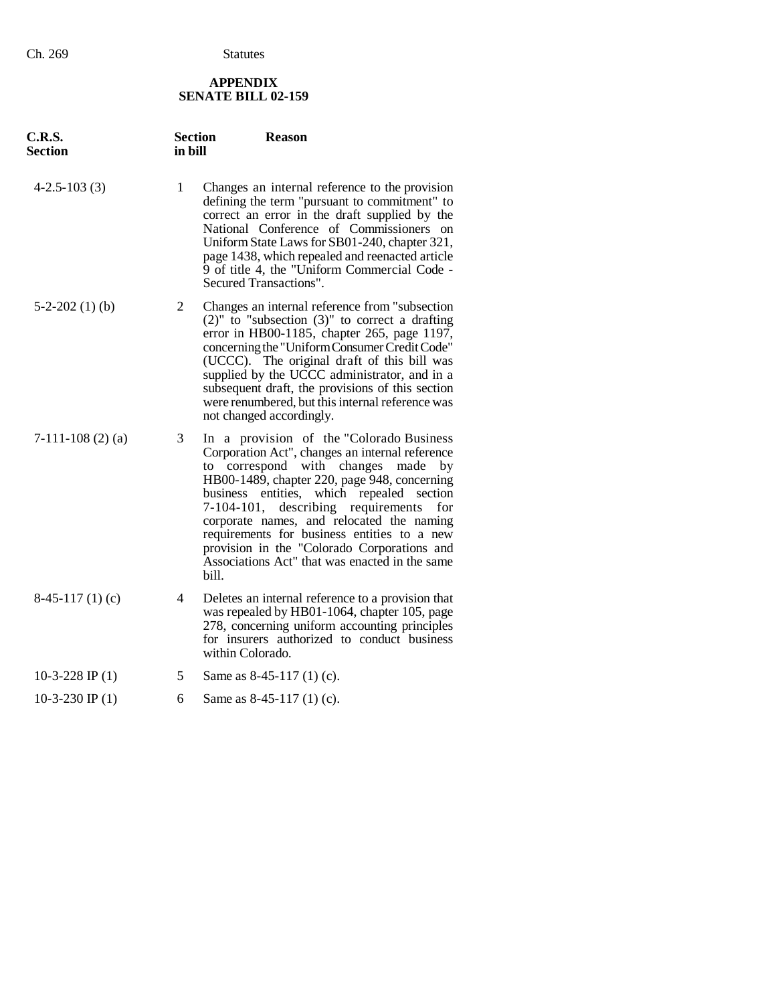# **APPENDIX SENATE BILL 02-159**

| C.R.S.<br><b>Section</b> | <b>Section</b><br>in bill | <b>Reason</b>                                                                                                                                                                                                                                                                                                                                                                                                                                                                            |
|--------------------------|---------------------------|------------------------------------------------------------------------------------------------------------------------------------------------------------------------------------------------------------------------------------------------------------------------------------------------------------------------------------------------------------------------------------------------------------------------------------------------------------------------------------------|
| $4-2.5-103(3)$           | $\mathbf{1}$              | Changes an internal reference to the provision<br>defining the term "pursuant to commitment" to<br>correct an error in the draft supplied by the<br>National Conference of Commissioners on<br>Uniform State Laws for SB01-240, chapter 321,<br>page 1438, which repealed and reenacted article<br>9 of title 4, the "Uniform Commercial Code -<br>Secured Transactions".                                                                                                                |
| $5-2-202(1)$ (b)         | 2                         | Changes an internal reference from "subsection<br>$(2)$ " to "subsection $(3)$ " to correct a drafting<br>error in HB00-1185, chapter 265, page 1197,<br>concerning the "Uniform Consumer Credit Code"<br>(UCCC). The original draft of this bill was<br>supplied by the UCCC administrator, and in a<br>subsequent draft, the provisions of this section<br>were renumbered, but this internal reference was<br>not changed accordingly.                                                |
| $7-111-108(2)(a)$        | 3                         | In a provision of the "Colorado Business"<br>Corporation Act", changes an internal reference<br>correspond with changes made by<br>to<br>HB00-1489, chapter 220, page 948, concerning<br>entities, which repealed section<br>business<br>7-104-101, describing requirements<br>for<br>corporate names, and relocated the naming<br>requirements for business entities to a new<br>provision in the "Colorado Corporations and<br>Associations Act" that was enacted in the same<br>bill. |
| $8-45-117(1)$ (c)        | 4                         | Deletes an internal reference to a provision that<br>was repealed by HB01-1064, chapter 105, page<br>278, concerning uniform accounting principles<br>for insurers authorized to conduct business<br>within Colorado.                                                                                                                                                                                                                                                                    |
| 10-3-228 IP $(1)$        | 5                         | Same as $8-45-117(1)$ (c).                                                                                                                                                                                                                                                                                                                                                                                                                                                               |
| $10-3-230$ IP $(1)$      | 6                         | Same as 8-45-117 (1) (c).                                                                                                                                                                                                                                                                                                                                                                                                                                                                |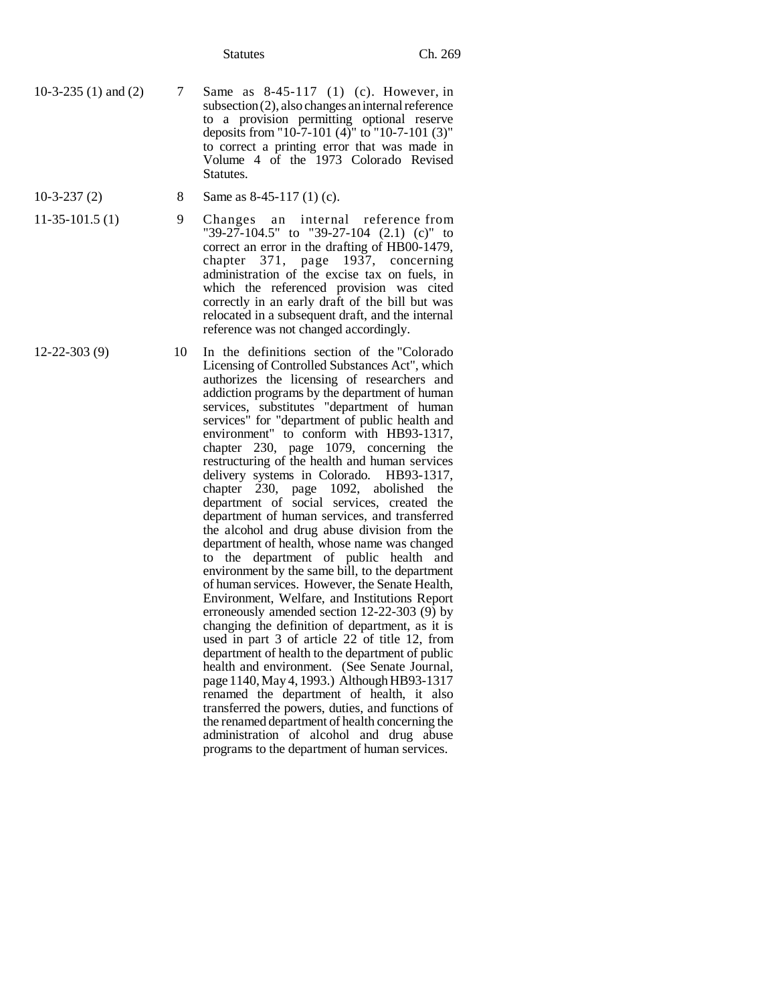- 10-3-235 (1) and (2) 7 Same as 8-45-117 (1) (c). However, in subsection (2), also changes an internal reference to a provision permitting optional reserve deposits from "10-7-101 (4)" to "10-7-101 (3)" to correct a printing error that was made in Volume 4 of the 1973 Colorado Revised Statutes.
- 
- 10-3-237 (2) 8 Same as 8-45-117 (1) (c).
- 11-35-101.5 (1) 9 Changes an internal reference from "39-27-104.5" to "39-27-104 (2.1) (c)" to correct an error in the drafting of HB00-1479, chapter 371, page 1937, concerning administration of the excise tax on fuels, in which the referenced provision was cited correctly in an early draft of the bill but was relocated in a subsequent draft, and the internal reference was not changed accordingly.
- 12-22-303 (9) 10 In the definitions section of the "Colorado Licensing of Controlled Substances Act", which authorizes the licensing of researchers and addiction programs by the department of human services, substitutes "department of human services" for "department of public health and environment" to conform with HB93-1317, chapter 230, page 1079, concerning the restructuring of the health and human services delivery systems in Colorado. HB93-1317, chapter 230, page 1092, abolished the department of social services, created the department of human services, and transferred the alcohol and drug abuse division from the department of health, whose name was changed to the department of public health and environment by the same bill, to the department of human services. However, the Senate Health, Environment, Welfare, and Institutions Report erroneously amended section 12-22-303 (9) by changing the definition of department, as it is used in part 3 of article 22 of title 12, from department of health to the department of public health and environment. (See Senate Journal, page 1140, May 4, 1993.) Although HB93-1317 renamed the department of health, it also transferred the powers, duties, and functions of the renamed department of health concerning the administration of alcohol and drug abuse programs to the department of human services.
-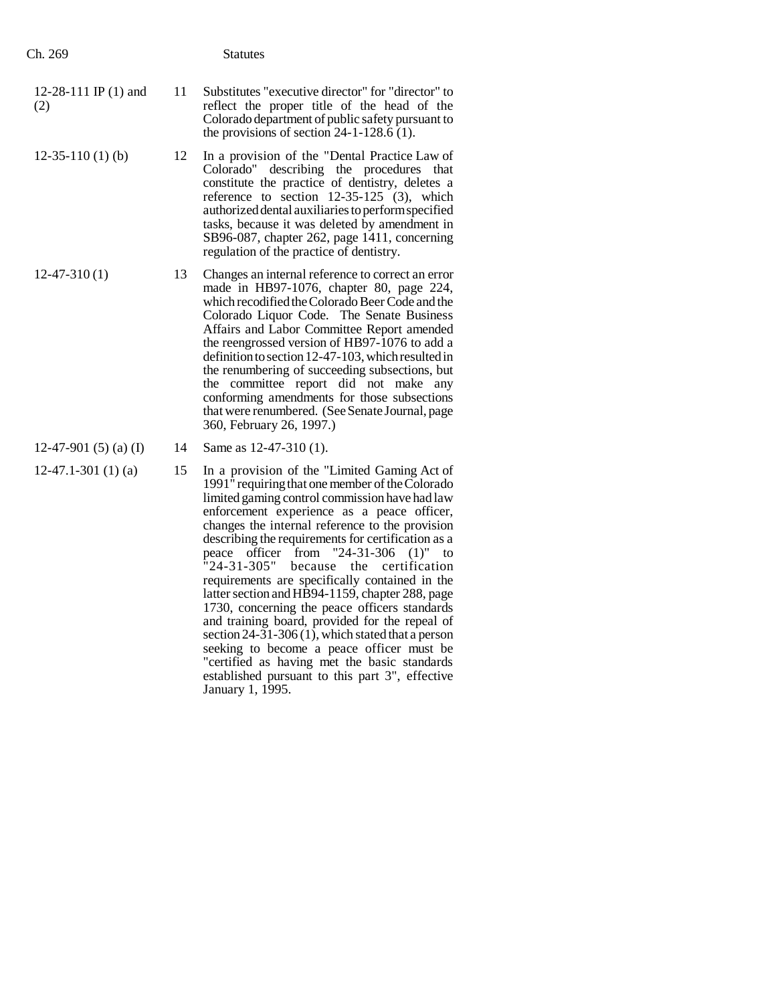| Ch. 269                       |    | <b>Statutes</b>                                                                                                                                                                                                                                                                                                                                                                                                                                                                                                                                                             |
|-------------------------------|----|-----------------------------------------------------------------------------------------------------------------------------------------------------------------------------------------------------------------------------------------------------------------------------------------------------------------------------------------------------------------------------------------------------------------------------------------------------------------------------------------------------------------------------------------------------------------------------|
| 12-28-111 IP $(1)$ and<br>(2) | 11 | Substitutes "executive director" for "director" to<br>reflect the proper title of the head of the<br>Colorado department of public safety pursuant to<br>the provisions of section $24-1-128.6$ (1).                                                                                                                                                                                                                                                                                                                                                                        |
| $12-35-110(1)$ (b)            | 12 | In a provision of the "Dental Practice Law of<br>describing the procedures<br>Colorado"<br>that<br>constitute the practice of dentistry, deletes a<br>reference to section $12-35-125$ (3), which<br>authorized dental auxiliaries to perform specified<br>tasks, because it was deleted by amendment in<br>SB96-087, chapter 262, page 1411, concerning<br>regulation of the practice of dentistry.                                                                                                                                                                        |
| $12-47-310(1)$                | 13 | Changes an internal reference to correct an error<br>made in HB97-1076, chapter 80, page 224,<br>which recodified the Colorado Beer Code and the<br>Colorado Liquor Code. The Senate Business<br>Affairs and Labor Committee Report amended<br>the reengrossed version of HB97-1076 to add a<br>definition to section 12-47-103, which resulted in<br>the renumbering of succeeding subsections, but<br>the committee report did not make any<br>conforming amendments for those subsections<br>that were renumbered. (See Senate Journal, page<br>360, February 26, 1997.) |
| 12-47-901 $(5)$ $(a)$ $(I)$   | 14 | Same as 12-47-310 (1).                                                                                                                                                                                                                                                                                                                                                                                                                                                                                                                                                      |
| $12-47.1-301(1)$ (a)          | 15 | In a provision of the "Limited Gaming Act of<br>1991" requiring that one member of the Colorado<br>limited gaming control commission have had law<br>enforcement experience as a peace officer,<br>changes the internal reference to the provision<br>describing the requirements for certification as a<br>from $"24-31-306"$<br>officer<br>peace<br>$(1)$ "<br>to<br>$"24-31-305"$<br>the certification<br>because                                                                                                                                                        |

requirements are specifically contained in the latter section and HB94-1159, chapter 288, page 1730, concerning the peace officers standards and training board, provided for the repeal of section 24-31-306  $(1)$ , which stated that a person seeking to become a peace officer must be "certified as having met the basic standards established pursuant to this part 3", effective

January 1, 1995.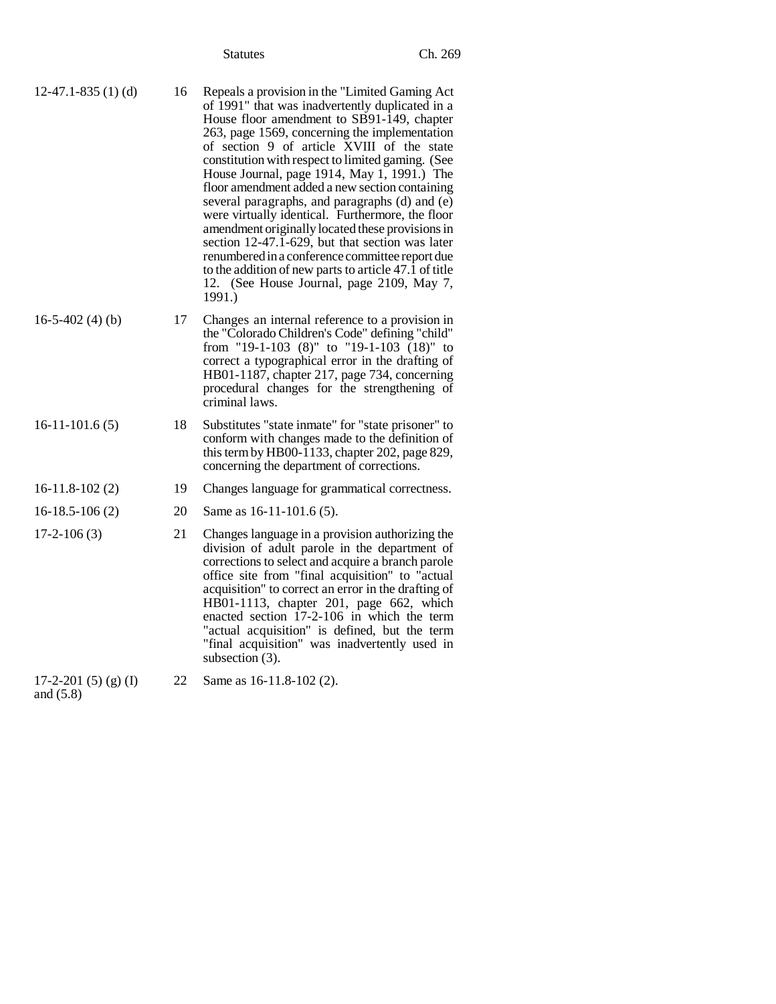| $12-47.1-835(1)$ (d)<br>16 | Repeals a provision in the "Limited Gaming Act"<br>of 1991" that was inadvertently duplicated in a<br>House floor amendment to SB91-149, chapter<br>263, page 1569, concerning the implementation<br>of section 9 of article XVIII of the state<br>constitution with respect to limited gaming. (See<br>House Journal, page 1914, May 1, 1991.) The<br>floor amendment added a new section containing<br>several paragraphs, and paragraphs (d) and (e)<br>were virtually identical. Furthermore, the floor<br>amendment originally located these provisions in<br>section 12-47.1-629, but that section was later<br>renumbered in a conference committee report due<br>to the addition of new parts to article 47.1 of title<br>12. (See House Journal, page 2109, May 7,<br>1991.) |
|----------------------------|---------------------------------------------------------------------------------------------------------------------------------------------------------------------------------------------------------------------------------------------------------------------------------------------------------------------------------------------------------------------------------------------------------------------------------------------------------------------------------------------------------------------------------------------------------------------------------------------------------------------------------------------------------------------------------------------------------------------------------------------------------------------------------------|
|----------------------------|---------------------------------------------------------------------------------------------------------------------------------------------------------------------------------------------------------------------------------------------------------------------------------------------------------------------------------------------------------------------------------------------------------------------------------------------------------------------------------------------------------------------------------------------------------------------------------------------------------------------------------------------------------------------------------------------------------------------------------------------------------------------------------------|

- 16-5-402 (4) (b) 17 Changes an internal reference to a provision in the "Colorado Children's Code" defining "child" from "19-1-103 (8)" to "19-1-103 (18)" to correct a typographical error in the drafting of HB01-1187, chapter 217, page 734, concerning procedural changes for the strengthening of criminal laws.
- 16-11-101.6 (5) 18 Substitutes "state inmate" for "state prisoner" to conform with changes made to the definition of this term by HB00-1133, chapter 202, page 829, concerning the department of corrections.

# 16-11.8-102 (2) 19 Changes language for grammatical correctness.

16-18.5-106 (2) 20 Same as 16-11-101.6 (5). 17-2-106 (3) 21 Changes language in a provision authorizing the division of adult parole in the department of corrections to select and acquire a branch parole office site from "final acquisition" to "actual acquisition" to correct an error in the drafting of HB01-1113, chapter 201, page 662, which enacted section 17-2-106 in which the term "actual acquisition" is defined, but the term "final acquisition" was inadvertently used in

 $17-2-201$  (5) (g) (I) and (5.8)

22 Same as 16-11.8-102 (2).

subsection (3).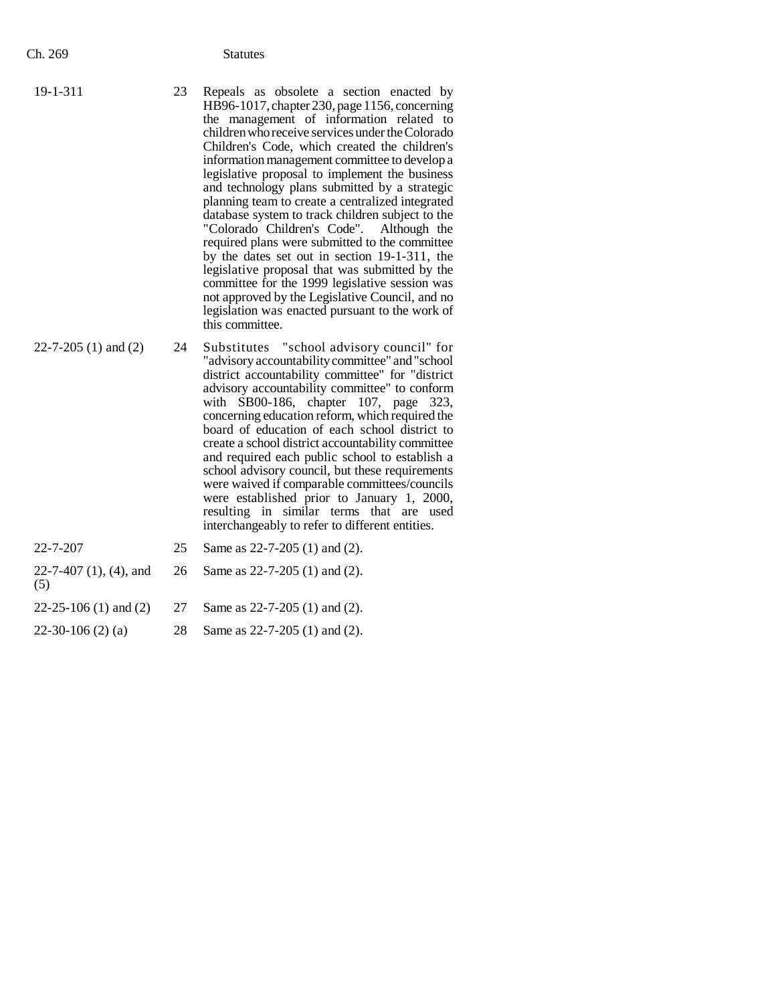| 19-1-311 |  |
|----------|--|
|          |  |

- 23 Repeals as obsolete a section enacted by HB96-1017, chapter 230, page 1156, concerning the management of information related to children who receive services under the Colorado Children's Code, which created the children's information management committee to develop a legislative proposal to implement the business and technology plans submitted by a strategic planning team to create a centralized integrated database system to track children subject to the "Colorado Children's Code". Although the required plans were submitted to the committee by the dates set out in section 19-1-311, the legislative proposal that was submitted by the committee for the 1999 legislative session was not approved by the Legislative Council, and no legislation was enacted pursuant to the work of this committee.
- 22-7-205 (1) and (2) 24 Substitutes "school advisory council" for "advisory accountability committee" and "school district accountability committee" for "district advisory accountability committee" to conform with SB00-186, chapter 107, page 323, concerning education reform, which required the board of education of each school district to create a school district accountability committee and required each public school to establish a school advisory council, but these requirements were waived if comparable committees/councils were established prior to January 1, 2000, resulting in similar terms that are used interchangeably to refer to different entities.

| 22-7-207                      | 25 | Same as 22-7-205 (1) and (2).      |  |
|-------------------------------|----|------------------------------------|--|
| 22-7-407 (1), (4), and<br>(5) |    | 26 Same as $22-7-205$ (1) and (2). |  |
| $22-25-106(1)$ and $(2)$      | 27 | Same as 22-7-205 (1) and (2).      |  |
| $22-30-106(2)$ (a)            | 28 | Same as $22-7-205$ (1) and (2).    |  |
|                               |    |                                    |  |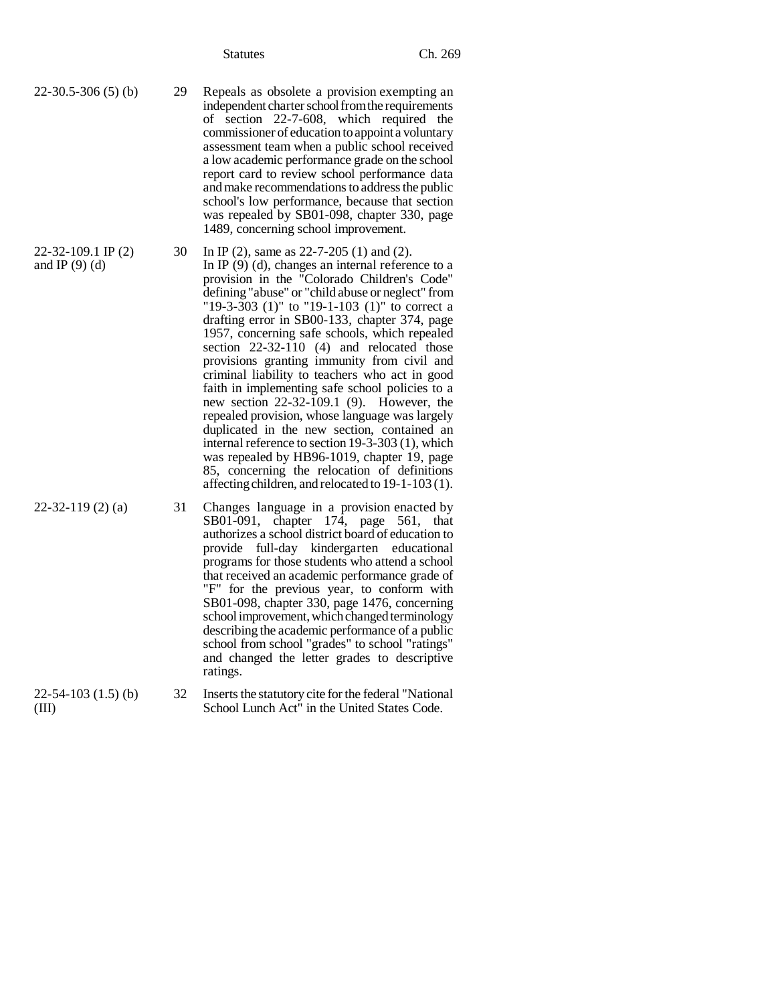Statutes Ch. 269

independent charter school from the requirements of section 22-7-608, which required the commissioner of education to appoint a voluntary assessment team when a public school received a low academic performance grade on the school report card to review school performance data and make recommendations to address the public school's low performance, because that section was repealed by SB01-098, chapter 330, page

1489, concerning school improvement.

In IP (9) (d), changes an internal reference to a provision in the "Colorado Children's Code" defining "abuse" or "child abuse or neglect" from "19-3-303 (1)" to "19-1-103 (1)" to correct a drafting error in SB00-133, chapter 374, page 1957, concerning safe schools, which repealed section 22-32-110 (4) and relocated those provisions granting immunity from civil and criminal liability to teachers who act in good faith in implementing safe school policies to a new section 22-32-109.1 (9). However, the repealed provision, whose language was largely duplicated in the new section, contained an internal reference to section 19-3-303 (1), which was repealed by HB96-1019, chapter 19, page 85, concerning the relocation of definitions affecting children, and relocated to 19-1-103 (1).

30 In IP (2), same as 22-7-205 (1) and (2).

22-30.5-306 (5) (b) 29 Repeals as obsolete a provision exempting an

22-32-109.1 IP (2) and IP  $(9)$  (d)

22-32-119 (2) (a) 31 Changes language in a provision enacted by

- 22-54-103 (1.5) (b)  $(III)$ 
	-

ratings.

32 Inserts the statutory cite for the federal "National School Lunch Act" in the United States Code.

SB01-091, chapter 174, page 561, that authorizes a school district board of education to provide full-day kindergarten educational programs for those students who attend a school that received an academic performance grade of "F" for the previous year, to conform with SB01-098, chapter 330, page 1476, concerning school improvement, which changed terminology describing the academic performance of a public school from school "grades" to school "ratings" and changed the letter grades to descriptive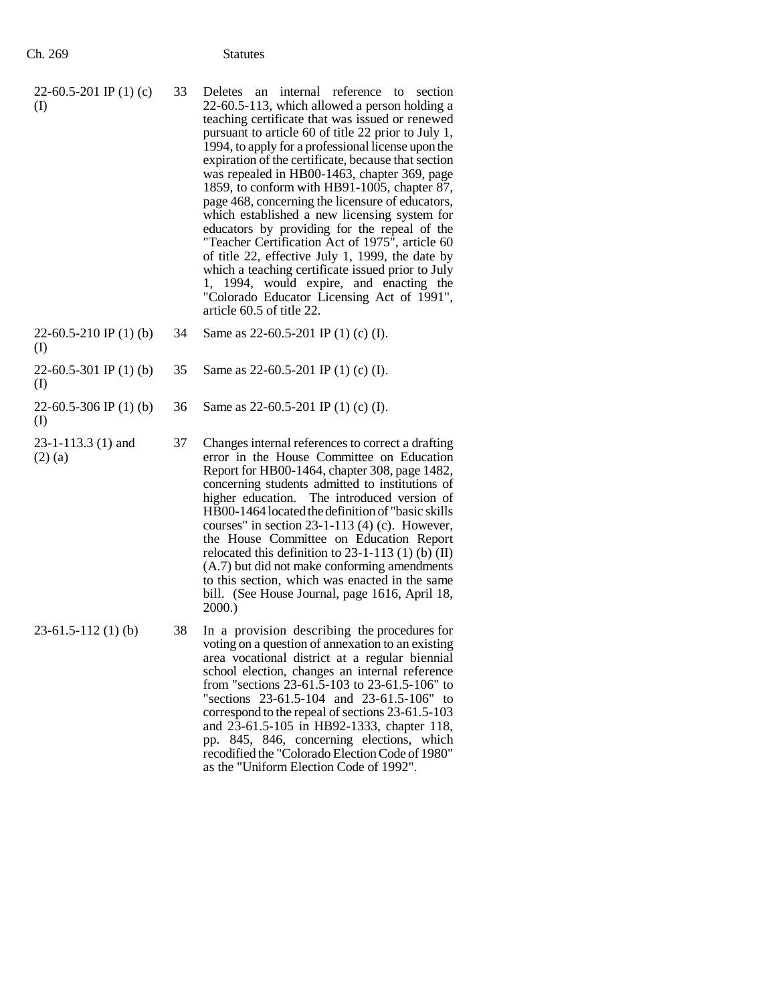| 22-60.5-201 IP $(1)$ (c)<br>$\rm (I)$ | 33 | Deletes an internal reference to section<br>22-60.5-113, which allowed a person holding a<br>teaching certificate that was issued or renewed<br>pursuant to article 60 of title 22 prior to July 1,<br>1994, to apply for a professional license upon the<br>expiration of the certificate, because that section<br>was repealed in HB00-1463, chapter 369, page<br>1859, to conform with HB91-1005, chapter 87,<br>page 468, concerning the licensure of educators,<br>which established a new licensing system for<br>educators by providing for the repeal of the<br>"Teacher Certification Act of 1975", article 60<br>of title 22, effective July 1, 1999, the date by<br>which a teaching certificate issued prior to July<br>1, 1994, would expire, and enacting the<br>"Colorado Educator Licensing Act of 1991",<br>article 60.5 of title 22. |
|---------------------------------------|----|--------------------------------------------------------------------------------------------------------------------------------------------------------------------------------------------------------------------------------------------------------------------------------------------------------------------------------------------------------------------------------------------------------------------------------------------------------------------------------------------------------------------------------------------------------------------------------------------------------------------------------------------------------------------------------------------------------------------------------------------------------------------------------------------------------------------------------------------------------|
| 22-60.5-210 IP $(1)$ (b)              | 34 | Same as $22-60.5-201$ IP (1) (c) (I).                                                                                                                                                                                                                                                                                                                                                                                                                                                                                                                                                                                                                                                                                                                                                                                                                  |

- (I) 22-60.5-301 IP (1) (b) 35 Same as 22-60.5-201 IP (1) (c) (I).
- (I)

22-60.5-306 IP (1) (b) (I)

- 23-1-113.3 (1) and (2) (a)
- 37 Changes internal references to correct a drafting error in the House Committee on Education Report for HB00-1464, chapter 308, page 1482, concerning students admitted to institutions of higher education. The introduced version of HB00-1464 located the definition of "basic skills courses" in section 23-1-113 (4) (c). However, the House Committee on Education Report relocated this definition to  $23-1-113$  (1) (b) (II) (A.7) but did not make conforming amendments to this section, which was enacted in the same bill. (See House Journal, page 1616, April 18, 2000.)

36 Same as 22-60.5-201 IP (1) (c) (I).

23-61.5-112 (1) (b) 38 In a provision describing the procedures for voting on a question of annexation to an existing area vocational district at a regular biennial school election, changes an internal reference from "sections 23-61.5-103 to 23-61.5-106" to "sections 23-61.5-104 and 23-61.5-106" to correspond to the repeal of sections 23-61.5-103 and 23-61.5-105 in HB92-1333, chapter 118, pp. 845, 846, concerning elections, which recodified the "Colorado Election Code of 1980" as the "Uniform Election Code of 1992".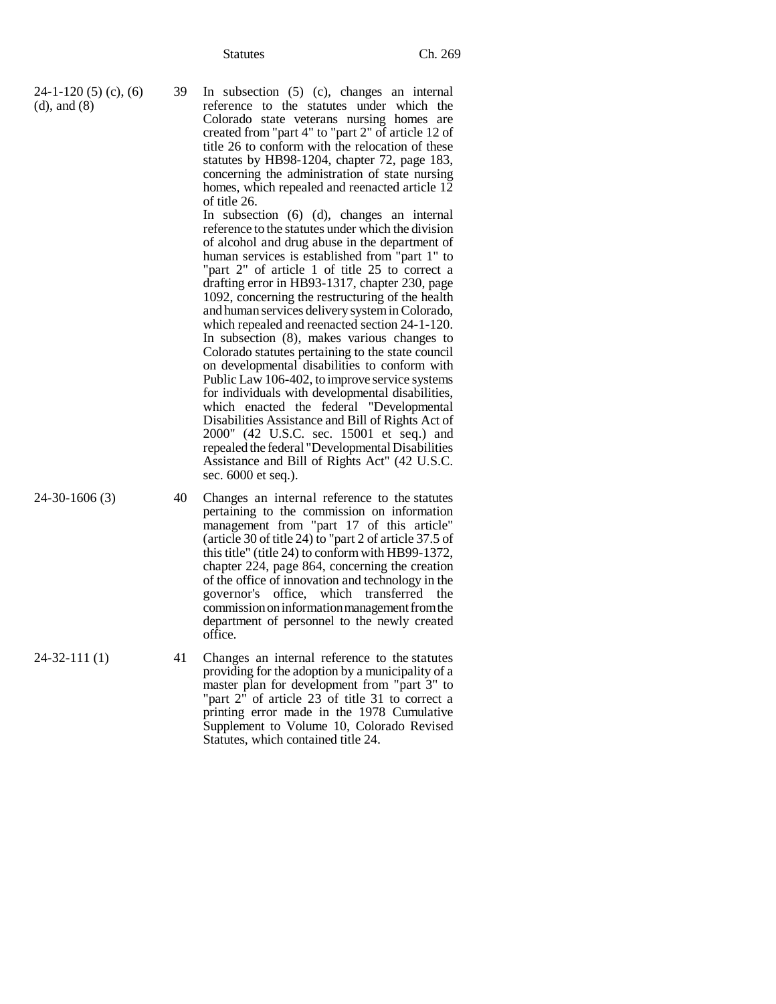| $24-1-120(5)(c)$ , (6) | 39 In subsection (5) (c), changes an internal      |
|------------------------|----------------------------------------------------|
| $(d)$ , and $(8)$      | reference to the statutes under which the          |
|                        | Colorado state veterans nursing homes are          |
|                        | created from "part 4" to "part 2" of article 12 of |
|                        | title 26 to conform with the relocation of these   |
|                        | statutes by HB98-1204, chapter 72, page 183,       |
|                        | concerning the administration of state nursing     |
|                        | homes, which repealed and reenacted article 12     |
|                        | of title 26.                                       |

In subsection (6) (d), changes an internal reference to the statutes under which the division of alcohol and drug abuse in the department of human services is established from "part 1" to "part 2" of article 1 of title 25 to correct a drafting error in HB93-1317, chapter 230, page 1092, concerning the restructuring of the health and human services delivery system in Colorado, which repealed and reenacted section 24-1-120. In subsection (8), makes various changes to Colorado statutes pertaining to the state council on developmental disabilities to conform with Public Law 106-402, to improve service systems for individuals with developmental disabilities, which enacted the federal "Developmental Disabilities Assistance and Bill of Rights Act of 2000" (42 U.S.C. sec. 15001 et seq.) and repealed the federal "Developmental Disabilities Assistance and Bill of Rights Act" (42 U.S.C. sec. 6000 et seq.).

- 24-30-1606 (3) 40 Changes an internal reference to the statutes pertaining to the commission on information management from "part 17 of this article" (article 30 of title 24) to "part 2 of article 37.5 of this title" (title 24) to conform with HB99-1372, chapter 224, page 864, concerning the creation of the office of innovation and technology in the governor's office, which transferred the commission on information management from the department of personnel to the newly created office.
- 24-32-111 (1) 41 Changes an internal reference to the statutes providing for the adoption by a municipality of a master plan for development from "part 3" to "part 2" of article 23 of title 31 to correct a printing error made in the 1978 Cumulative Supplement to Volume 10, Colorado Revised Statutes, which contained title 24.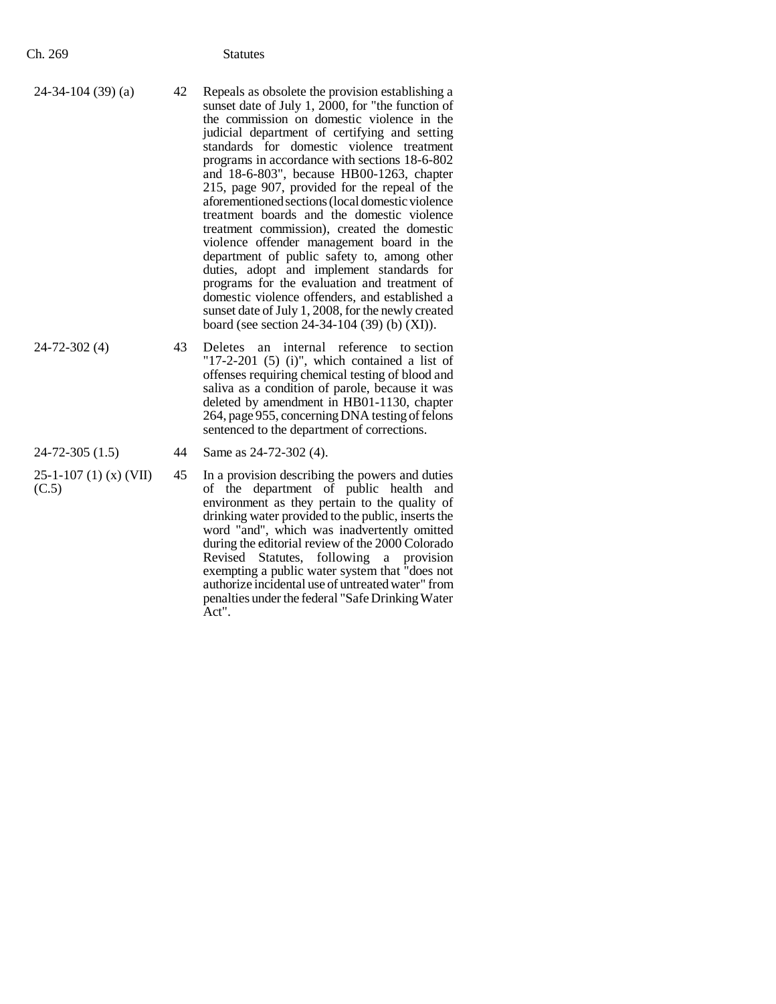- 24-72-302 (4) 43 Deletes an internal reference to section "17-2-201 (5) (i)", which contained a list of offenses requiring chemical testing of blood and saliva as a condition of parole, because it was deleted by amendment in HB01-1130, chapter 264, page 955, concerning DNA testing of felons sentenced to the department of corrections.
- 

25-1-107 (1) (x) (VII) (C.5)

- 24-72-305 (1.5) 44 Same as 24-72-302 (4).
	- 45 In a provision describing the powers and duties of the department of public health and environment as they pertain to the quality of drinking water provided to the public, inserts the word "and", which was inadvertently omitted during the editorial review of the 2000 Colorado Revised Statutes, following a provision exempting a public water system that "does not authorize incidental use of untreated water" from penalties under the federal "Safe Drinking Water Act".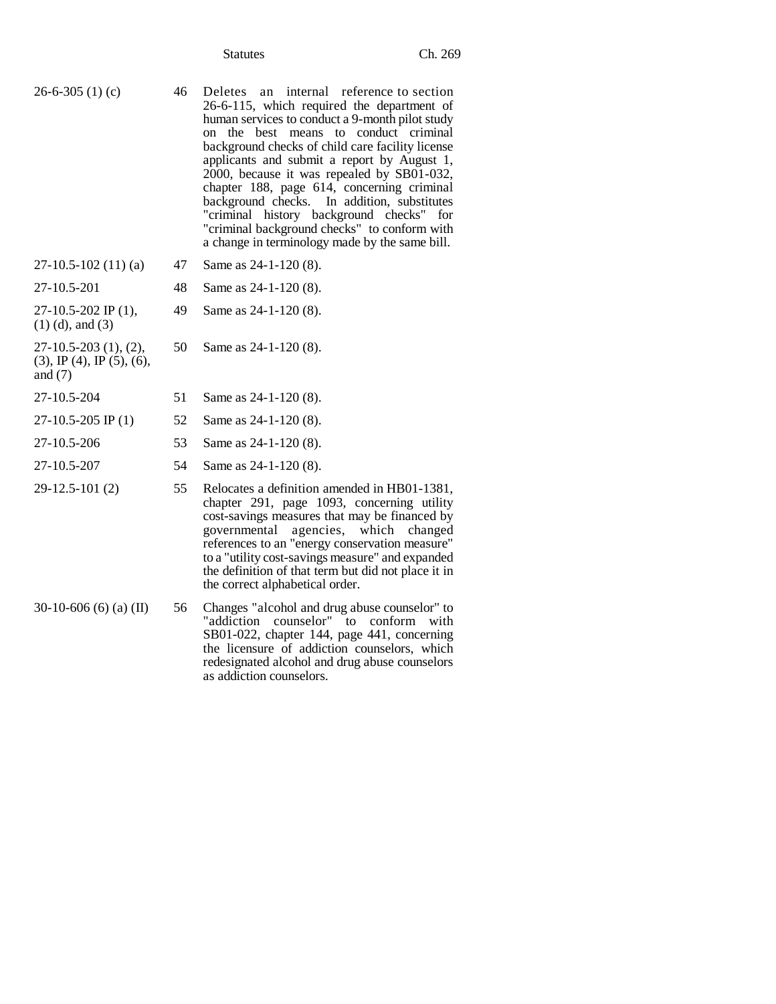Statutes Ch. 269

26-6-305 (1) (c) 46 Deletes an internal reference to section 26-6-115, which required the department of human services to conduct a 9-month pilot study on the best means to conduct criminal background checks of child care facility license applicants and submit a report by August 1, 2000, because it was repealed by SB01-032, chapter 188, page 614, concerning criminal background checks. In addition, substitutes "criminal history background checks" for "criminal background checks" to conform with a change in terminology made by the same bill.

| $27-10.5-102(11)(a)$                        | 47  | Same as $24-1-120(8)$ . |
|---------------------------------------------|-----|-------------------------|
| 27-10.5-201                                 | 48. | Same as $24-1-120(8)$ . |
| $27-10.5-202$ IP (1),<br>$(1)$ (d), and (3) | 49. | Same as $24-1-120(8)$ . |

27-10.5-203 (1), (2),  $(3)$ , IP  $(4)$ , IP  $(5)$ ,  $(6)$ , and (7)

| 27-10.5-204 | 51 Same as $24-1-120(8)$ . |
|-------------|----------------------------|
|             |                            |

- 27-10.5-205 IP (1) 52 Same as 24-1-120 (8).
- 27-10.5-206 53 Same as 24-1-120 (8).
- 27-10.5-207 54 Same as 24-1-120 (8).
- 29-12.5-101 (2) 55 Relocates a definition amended in HB01-1381, chapter 291, page 1093, concerning utility cost-savings measures that may be financed by governmental agencies, which changed references to an "energy conservation measure" to a "utility cost-savings measure" and expanded the definition of that term but did not place it in the correct alphabetical order.
- 30-10-606 (6) (a) (II) 56 Changes "alcohol and drug abuse counselor" to "addiction counselor" to conform with SB01-022, chapter 144, page 441, concerning the licensure of addiction counselors, which redesignated alcohol and drug abuse counselors as addiction counselors.

50 Same as 24-1-120 (8).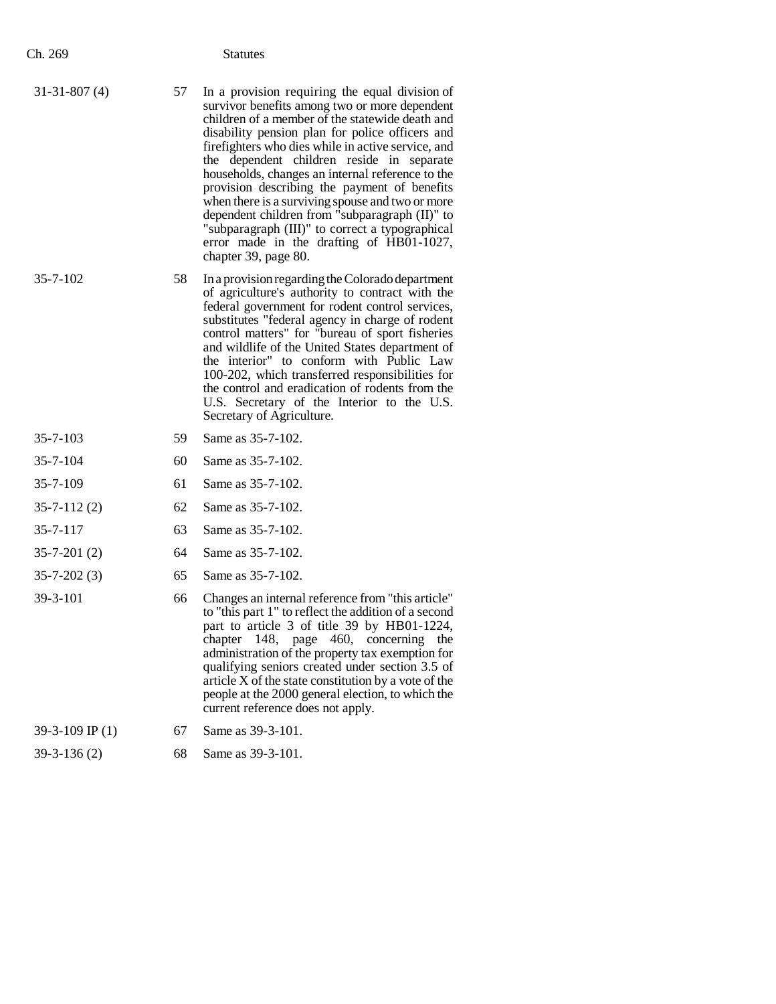| Ch. 269           |    | <b>Statutes</b>                                                                                                                                                                                                                                                                                                                                                                                                                                                                                                                                                                                                                           |
|-------------------|----|-------------------------------------------------------------------------------------------------------------------------------------------------------------------------------------------------------------------------------------------------------------------------------------------------------------------------------------------------------------------------------------------------------------------------------------------------------------------------------------------------------------------------------------------------------------------------------------------------------------------------------------------|
| $31-31-807(4)$    | 57 | In a provision requiring the equal division of<br>survivor benefits among two or more dependent<br>children of a member of the statewide death and<br>disability pension plan for police officers and<br>firefighters who dies while in active service, and<br>the dependent children reside in separate<br>households, changes an internal reference to the<br>provision describing the payment of benefits<br>when there is a surviving spouse and two or more<br>dependent children from "subparagraph (II)" to<br>"subparagraph (III)" to correct a typographical<br>error made in the drafting of HB01-1027,<br>chapter 39, page 80. |
| $35 - 7 - 102$    | 58 | In a provision regarding the Colorado department<br>of agriculture's authority to contract with the<br>federal government for rodent control services,<br>substitutes "federal agency in charge of rodent<br>control matters" for "bureau of sport fisheries<br>and wildlife of the United States department of<br>the interior" to conform with Public Law<br>100-202, which transferred responsibilities for<br>the control and eradication of rodents from the<br>U.S. Secretary of the Interior to the U.S.<br>Secretary of Agriculture.                                                                                              |
| $35 - 7 - 103$    | 59 | Same as 35-7-102.                                                                                                                                                                                                                                                                                                                                                                                                                                                                                                                                                                                                                         |
| $35 - 7 - 104$    | 60 | Same as 35-7-102.                                                                                                                                                                                                                                                                                                                                                                                                                                                                                                                                                                                                                         |
| 35-7-109          | 61 | Same as 35-7-102.                                                                                                                                                                                                                                                                                                                                                                                                                                                                                                                                                                                                                         |
| $35 - 7 - 112(2)$ | 62 | Same as 35-7-102.                                                                                                                                                                                                                                                                                                                                                                                                                                                                                                                                                                                                                         |
| $35 - 7 - 117$    | 63 | Same as 35-7-102.                                                                                                                                                                                                                                                                                                                                                                                                                                                                                                                                                                                                                         |
| $35 - 7 - 201(2)$ | 64 | Same as 35-7-102.                                                                                                                                                                                                                                                                                                                                                                                                                                                                                                                                                                                                                         |
| $35 - 7 - 202(3)$ | 65 | Same as 35-7-102.                                                                                                                                                                                                                                                                                                                                                                                                                                                                                                                                                                                                                         |
| 39-3-101          | 66 | Changes an internal reference from "this article"<br>to "this part 1" to reflect the addition of a second<br>part to article 3 of title 39 by HB01-1224,<br>chapter 148, page 460, concerning<br>the<br>administration of the property tax exemption for<br>qualifying seniors created under section 3.5 of<br>article X of the state constitution by a vote of the<br>people at the 2000 general election, to which the<br>current reference does not apply.                                                                                                                                                                             |
| 39-3-109 IP $(1)$ | 67 | Same as 39-3-101.                                                                                                                                                                                                                                                                                                                                                                                                                                                                                                                                                                                                                         |
| $39-3-136(2)$     | 68 | Same as 39-3-101.                                                                                                                                                                                                                                                                                                                                                                                                                                                                                                                                                                                                                         |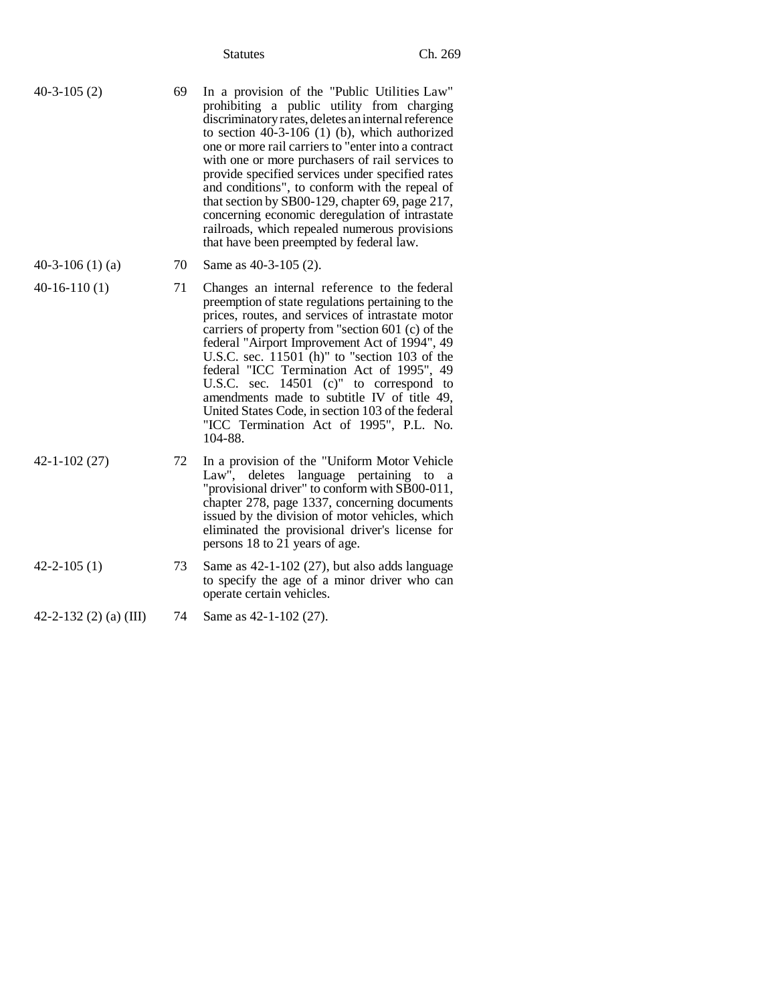| $40-3-105(2)$ | 69 | In a provision of the "Public Utilities Law"<br>prohibiting a public utility from charging<br>discriminatory rates, deletes an internal reference<br>to section $40-3-106$ (1) (b), which authorized<br>one or more rail carriers to "enter into a contract"<br>with one or more purchasers of rail services to<br>provide specified services under specified rates<br>and conditions", to conform with the repeal of<br>that section by SB00-129, chapter 69, page 217,<br>concerning economic deregulation of intrastate |
|---------------|----|----------------------------------------------------------------------------------------------------------------------------------------------------------------------------------------------------------------------------------------------------------------------------------------------------------------------------------------------------------------------------------------------------------------------------------------------------------------------------------------------------------------------------|
|               |    | railroads, which repealed numerous provisions<br>that have been preempted by federal law.                                                                                                                                                                                                                                                                                                                                                                                                                                  |

|  | 40-3-106 $(1)$ $(a)$ | 70 Same as 40-3-105 (2). |  |
|--|----------------------|--------------------------|--|
|--|----------------------|--------------------------|--|

- 40-16-110 (1) 71 Changes an internal reference to the federal preemption of state regulations pertaining to the prices, routes, and services of intrastate motor carriers of property from "section 601 (c) of the federal "Airport Improvement Act of 1994", 49 U.S.C. sec. 11501 (h)" to "section 103 of the federal "ICC Termination Act of 1995", 49 U.S.C. sec. 14501 (c)" to correspond to amendments made to subtitle IV of title 49, United States Code, in section 103 of the federal "ICC Termination Act of 1995", P.L. No. 104-88.
- 42-1-102 (27) 72 In a provision of the "Uniform Motor Vehicle Law", deletes language pertaining to a "provisional driver" to conform with SB00-011, chapter 278, page 1337, concerning documents issued by the division of motor vehicles, which eliminated the provisional driver's license for persons 18 to 21 years of age.
- 42-2-105 (1) 73 Same as 42-1-102 (27), but also adds language to specify the age of a minor driver who can operate certain vehicles.
- 42-2-132 (2) (a) (III) 74 Same as 42-1-102 (27).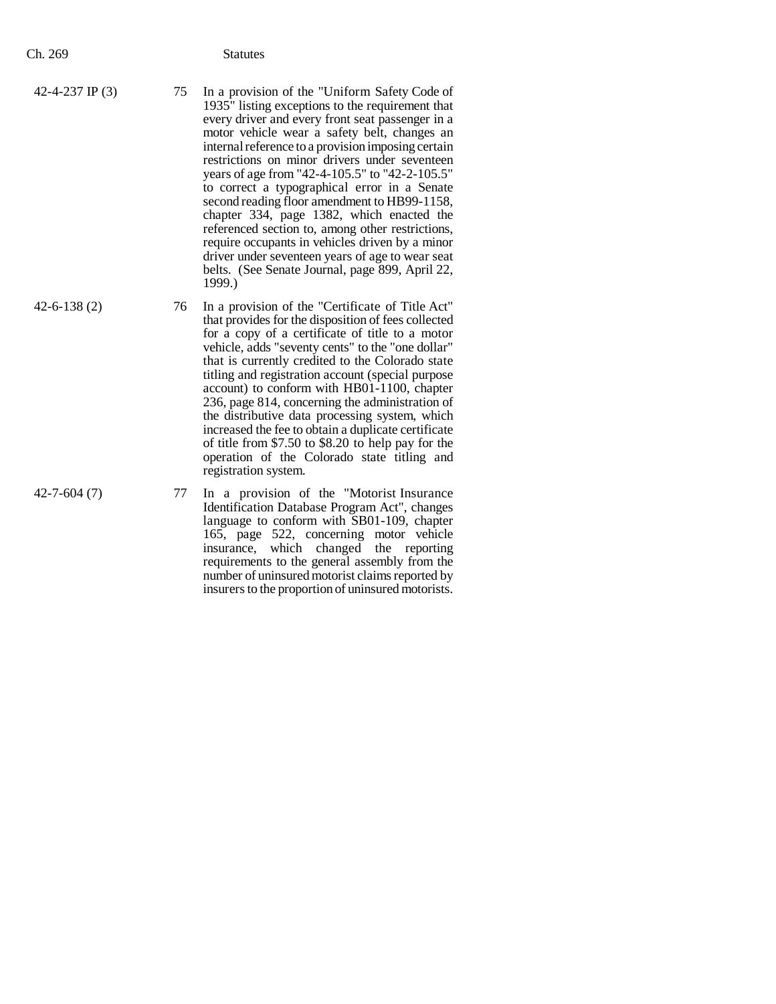| 1999.) |
|--------|
|--------|

42-6-138 (2) 76 In a provision of the "Certificate of Title Act" that provides for the disposition of fees collected for a copy of a certificate of title to a motor vehicle, adds "seventy cents" to the "one dollar" that is currently credited to the Colorado state titling and registration account (special purpose account) to conform with HB01-1100, chapter 236, page 814, concerning the administration of the distributive data processing system, which increased the fee to obtain a duplicate certificate of title from \$7.50 to \$8.20 to help pay for the operation of the Colorado state titling and registration system.

42-7-604 (7) 77 In a provision of the "Motorist Insurance Identification Database Program Act", changes language to conform with SB01-109, chapter 165, page 522, concerning motor vehicle insurance, which changed the reporting requirements to the general assembly from the number of uninsured motorist claims reported by insurers to the proportion of uninsured motorists.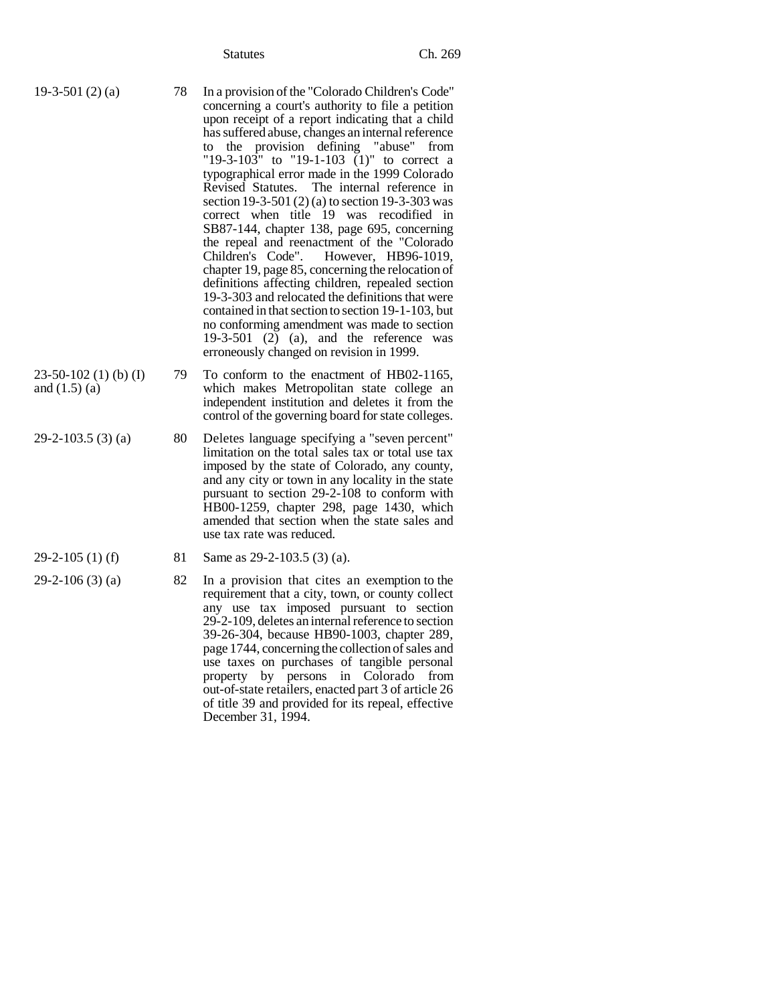- 19-3-501 (2) (a) 78 In a provision of the "Colorado Children's Code" concerning a court's authority to file a petition upon receipt of a report indicating that a child has suffered abuse, changes an internal reference to the provision defining "abuse" from "19-3-103" to "19-1-103 (1)" to correct a typographical error made in the 1999 Colorado Revised Statutes. The internal reference in section 19-3-501 (2) (a) to section 19-3-303 was correct when title 19 was recodified in SB87-144, chapter 138, page 695, concerning the repeal and reenactment of the "Colorado"<br>Children's Code". However, HB96-1019, However, HB96-1019, chapter 19, page 85, concerning the relocation of definitions affecting children, repealed section 19-3-303 and relocated the definitions that were contained in that section to section 19-1-103, but no conforming amendment was made to section 19-3-501 (2) (a), and the reference was erroneously changed on revision in 1999.
- 23-50-102 (1) (b) (I) and (1.5) (a) 79 To conform to the enactment of HB02-1165, which makes Metropolitan state college an independent institution and deletes it from the control of the governing board for state colleges.
- 29-2-103.5 (3) (a) 80 Deletes language specifying a "seven percent" limitation on the total sales tax or total use tax imposed by the state of Colorado, any county, and any city or town in any locality in the state pursuant to section 29-2-108 to conform with HB00-1259, chapter 298, page 1430, which amended that section when the state sales and use tax rate was reduced.
- 
- 29-2-105 (1) (f) 81 Same as 29-2-103.5 (3) (a).
- $29-2-106$  (3) (a) 82 In a provision that cites an exemption to the requirement that a city, town, or county collect any use tax imposed pursuant to section 29-2-109, deletes an internal reference to section 39-26-304, because HB90-1003, chapter 289, page 1744, concerning the collection of sales and use taxes on purchases of tangible personal property by persons in Colorado from out-of-state retailers, enacted part 3 of article 26 of title 39 and provided for its repeal, effective December 31, 1994.